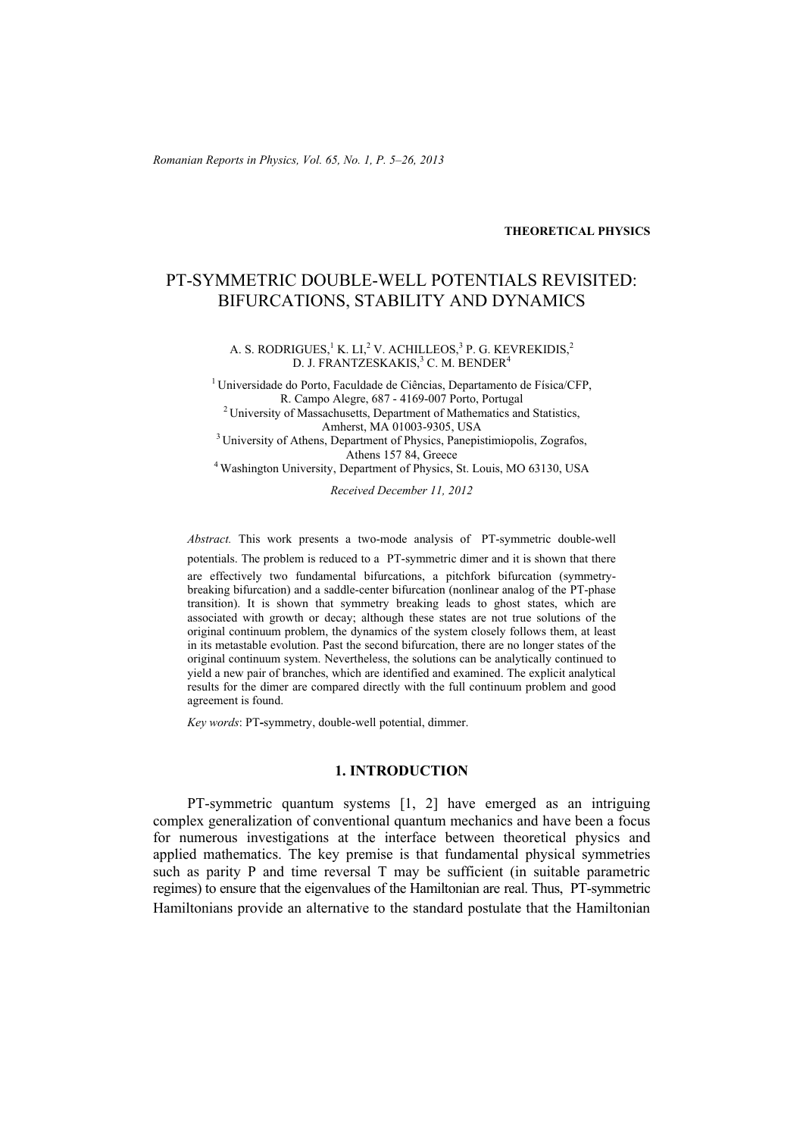#### **THEORETICAL PHYSICS**

# PT-SYMMETRIC DOUBLE-WELL POTENTIALS REVISITED: BIFURCATIONS, STABILITY AND DYNAMICS

#### A. S. RODRIGUES,<sup>1</sup> K. LI,<sup>2</sup> V. ACHILLEOS,<sup>3</sup> P. G. KEVREKIDIS,<sup>2</sup> D. J. FRANTZESKAKIS,<sup>3</sup> C. M. BENDER<sup>4</sup>

<sup>1</sup> Universidade do Porto, Faculdade de Ciências, Departamento de Física/CFP,<br>R. Campo Alegre. 687 - 4169-007 Porto. Portugal <sup>2</sup> University of Massachusetts, Department of Mathematics and Statistics,

 $A$ mherst, MA 01003-9305, USA<br><sup>3</sup> University of Athens, Department of Physics, Panepistimiopolis, Zografos, Athens 157 84, Greece<br><sup>4</sup> Washington University, Department of Physics, St. Louis, MO 63130, USA

*Received December 11, 2012* 

*Abstract.* This work presents a two-mode analysis of PT-symmetric double-well potentials. The problem is reduced to a PT-symmetric dimer and it is shown that there are effectively two fundamental bifurcations, a pitchfork bifurcation (symmetrybreaking bifurcation) and a saddle-center bifurcation (nonlinear analog of the PT-phase transition). It is shown that symmetry breaking leads to ghost states, which are associated with growth or decay; although these states are not true solutions of the original continuum problem, the dynamics of the system closely follows them, at least in its metastable evolution. Past the second bifurcation, there are no longer states of the original continuum system. Nevertheless, the solutions can be analytically continued to yield a new pair of branches, which are identified and examined. The explicit analytical results for the dimer are compared directly with the full continuum problem and good agreement is found.

*Key words*: PT**-**symmetry, double-well potential, dimmer.

## **1. INTRODUCTION**

PT-symmetric quantum systems [1, 2] have emerged as an intriguing complex generalization of conventional quantum mechanics and have been a focus for numerous investigations at the interface between theoretical physics and applied mathematics. The key premise is that fundamental physical symmetries such as parity P and time reversal T may be sufficient (in suitable parametric regimes) to ensure that the eigenvalues of the Hamiltonian are real. Thus, PT-symmetric Hamiltonians provide an alternative to the standard postulate that the Hamiltonian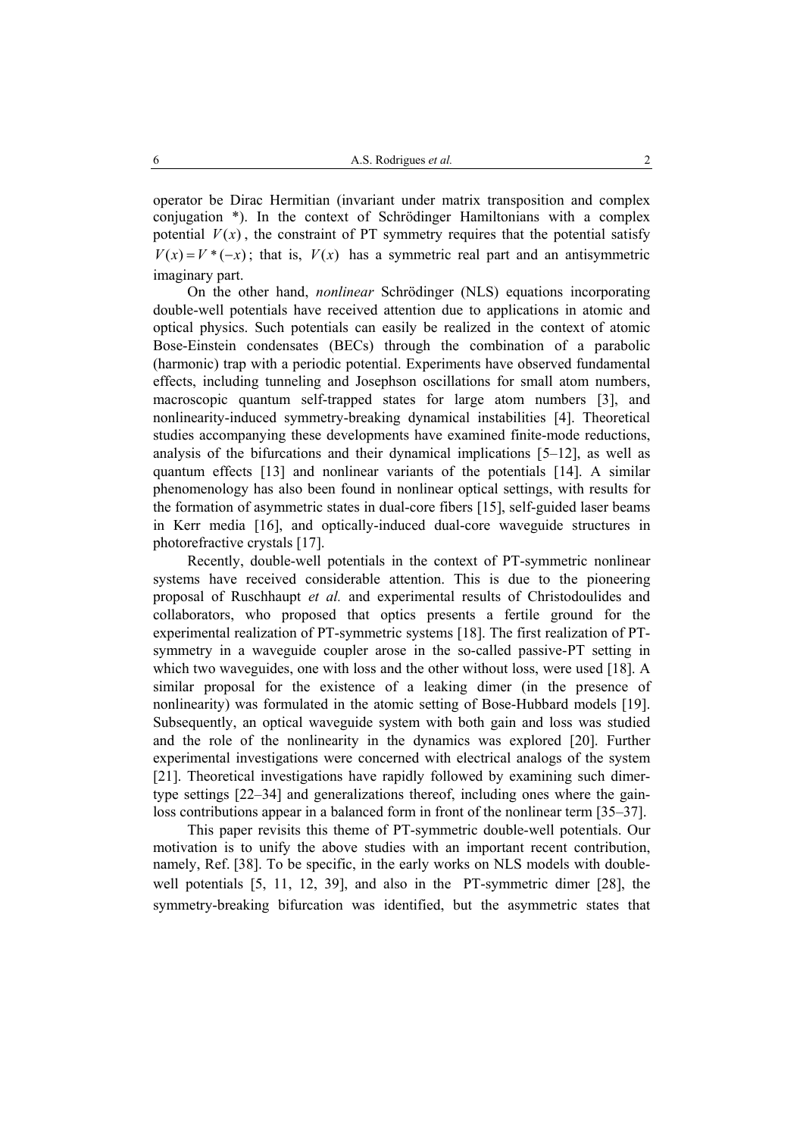operator be Dirac Hermitian (invariant under matrix transposition and complex conjugation \*). In the context of Schrödinger Hamiltonians with a complex potential  $V(x)$ , the constraint of PT symmetry requires that the potential satisfy  $V(x) = V^*(-x)$ ; that is,  $V(x)$  has a symmetric real part and an antisymmetric imaginary part.

On the other hand, *nonlinear* Schrödinger (NLS) equations incorporating double-well potentials have received attention due to applications in atomic and optical physics. Such potentials can easily be realized in the context of atomic Bose-Einstein condensates (BECs) through the combination of a parabolic (harmonic) trap with a periodic potential. Experiments have observed fundamental effects, including tunneling and Josephson oscillations for small atom numbers, macroscopic quantum self-trapped states for large atom numbers [3], and nonlinearity-induced symmetry-breaking dynamical instabilities [4]. Theoretical studies accompanying these developments have examined finite-mode reductions, analysis of the bifurcations and their dynamical implications [5–12], as well as quantum effects [13] and nonlinear variants of the potentials [14]. A similar phenomenology has also been found in nonlinear optical settings, with results for the formation of asymmetric states in dual-core fibers [15], self-guided laser beams in Kerr media [16], and optically-induced dual-core waveguide structures in photorefractive crystals [17].

Recently, double-well potentials in the context of PT-symmetric nonlinear systems have received considerable attention. This is due to the pioneering proposal of Ruschhaupt *et al.* and experimental results of Christodoulides and collaborators, who proposed that optics presents a fertile ground for the experimental realization of PT-symmetric systems [18]. The first realization of PTsymmetry in a waveguide coupler arose in the so-called passive-PT setting in which two waveguides, one with loss and the other without loss, were used [18]. A similar proposal for the existence of a leaking dimer (in the presence of nonlinearity) was formulated in the atomic setting of Bose-Hubbard models [19]. Subsequently, an optical waveguide system with both gain and loss was studied and the role of the nonlinearity in the dynamics was explored [20]. Further experimental investigations were concerned with electrical analogs of the system [21]. Theoretical investigations have rapidly followed by examining such dimertype settings [22–34] and generalizations thereof, including ones where the gainloss contributions appear in a balanced form in front of the nonlinear term [35–37].

This paper revisits this theme of PT-symmetric double-well potentials. Our motivation is to unify the above studies with an important recent contribution, namely, Ref. [38]. To be specific, in the early works on NLS models with doublewell potentials [5, 11, 12, 39], and also in the PT-symmetric dimer [28], the symmetry-breaking bifurcation was identified, but the asymmetric states that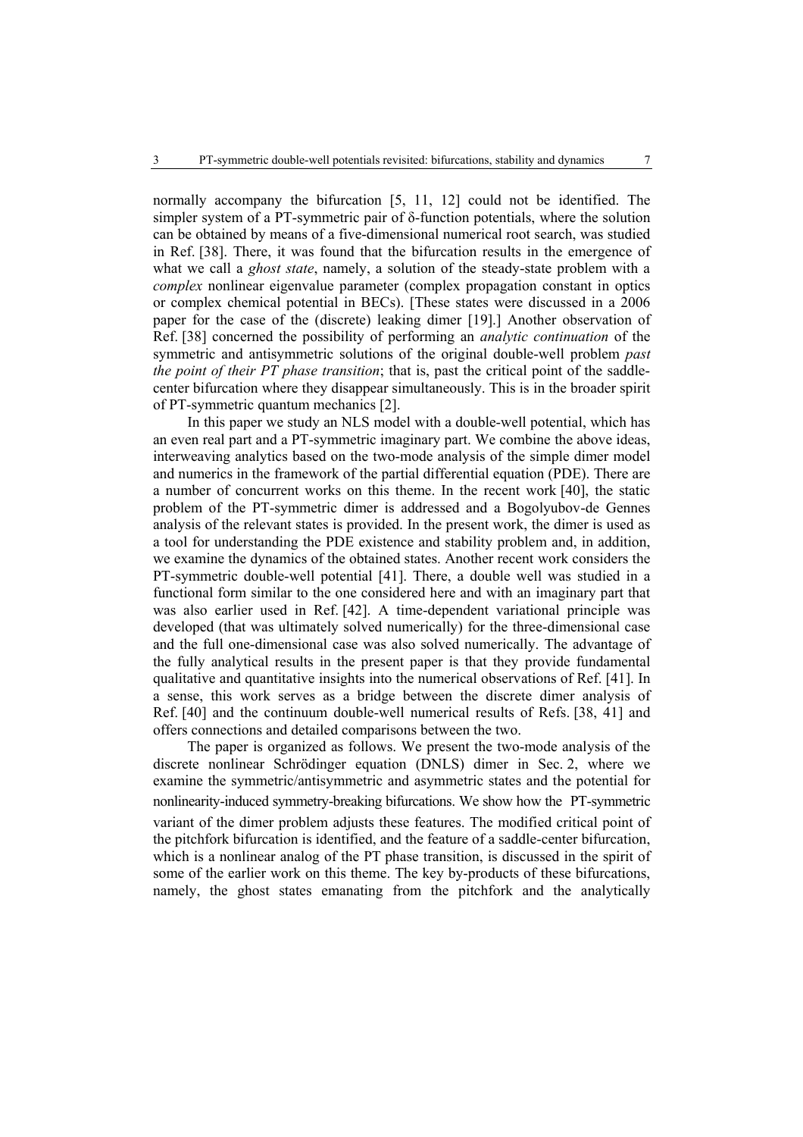normally accompany the bifurcation [5, 11, 12] could not be identified. The simpler system of a PT-symmetric pair of δ-function potentials, where the solution can be obtained by means of a five-dimensional numerical root search, was studied in Ref. [38]. There, it was found that the bifurcation results in the emergence of what we call a *ghost state*, namely, a solution of the steady-state problem with a *complex* nonlinear eigenvalue parameter (complex propagation constant in optics or complex chemical potential in BECs). [These states were discussed in a 2006 paper for the case of the (discrete) leaking dimer [19].] Another observation of Ref. [38] concerned the possibility of performing an *analytic continuation* of the symmetric and antisymmetric solutions of the original double-well problem *past the point of their PT phase transition*; that is, past the critical point of the saddlecenter bifurcation where they disappear simultaneously. This is in the broader spirit of PT-symmetric quantum mechanics [2].

In this paper we study an NLS model with a double-well potential, which has an even real part and a PT-symmetric imaginary part. We combine the above ideas, interweaving analytics based on the two-mode analysis of the simple dimer model and numerics in the framework of the partial differential equation (PDE). There are a number of concurrent works on this theme. In the recent work [40], the static problem of the PT-symmetric dimer is addressed and a Bogolyubov-de Gennes analysis of the relevant states is provided. In the present work, the dimer is used as a tool for understanding the PDE existence and stability problem and, in addition, we examine the dynamics of the obtained states. Another recent work considers the PT-symmetric double-well potential [41]. There, a double well was studied in a functional form similar to the one considered here and with an imaginary part that was also earlier used in Ref. [42]. A time-dependent variational principle was developed (that was ultimately solved numerically) for the three-dimensional case and the full one-dimensional case was also solved numerically. The advantage of the fully analytical results in the present paper is that they provide fundamental qualitative and quantitative insights into the numerical observations of Ref. [41]. In a sense, this work serves as a bridge between the discrete dimer analysis of Ref. [40] and the continuum double-well numerical results of Refs. [38, 41] and offers connections and detailed comparisons between the two.

The paper is organized as follows. We present the two-mode analysis of the discrete nonlinear Schrödinger equation (DNLS) dimer in Sec. 2, where we examine the symmetric/antisymmetric and asymmetric states and the potential for nonlinearity-induced symmetry-breaking bifurcations. We show how the PT-symmetric variant of the dimer problem adjusts these features. The modified critical point of the pitchfork bifurcation is identified, and the feature of a saddle-center bifurcation, which is a nonlinear analog of the PT phase transition, is discussed in the spirit of some of the earlier work on this theme. The key by-products of these bifurcations, namely, the ghost states emanating from the pitchfork and the analytically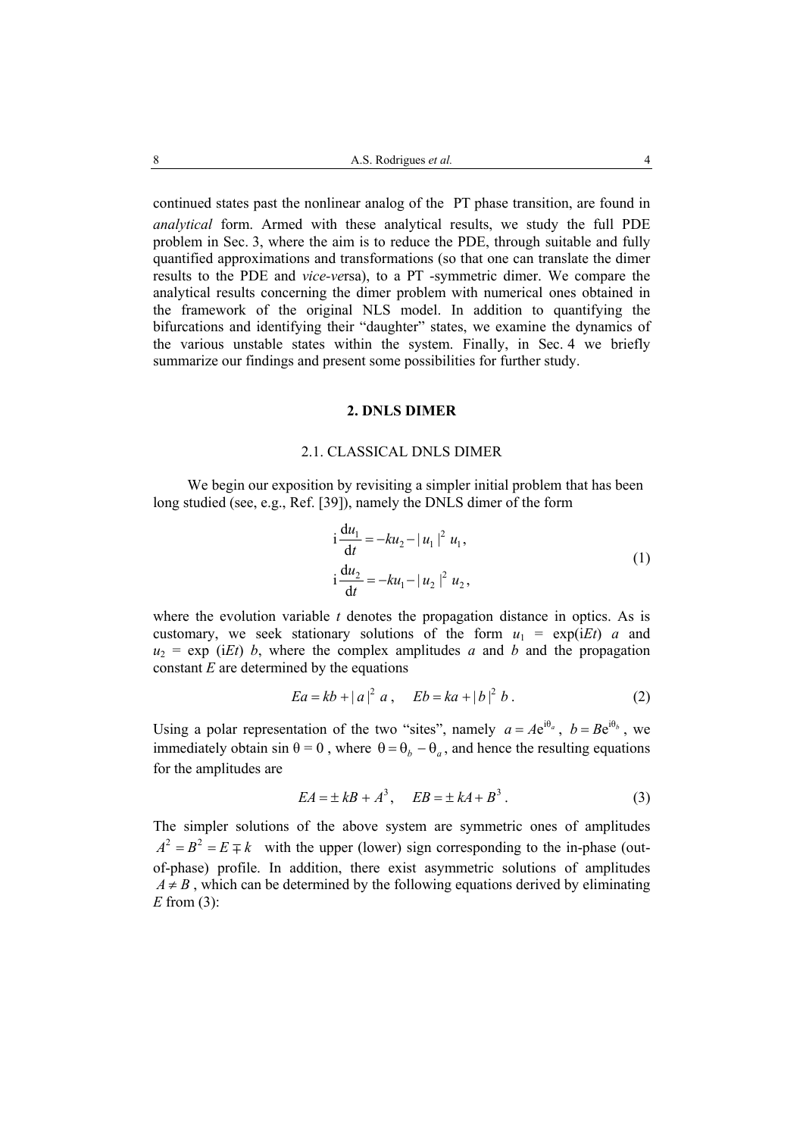continued states past the nonlinear analog of the PT phase transition, are found in *analytical* form. Armed with these analytical results, we study the full PDE problem in Sec. 3, where the aim is to reduce the PDE, through suitable and fully quantified approximations and transformations (so that one can translate the dimer results to the PDE and *vice-ve*rsa), to a PT -symmetric dimer. We compare the analytical results concerning the dimer problem with numerical ones obtained in the framework of the original NLS model. In addition to quantifying the bifurcations and identifying their "daughter" states, we examine the dynamics of the various unstable states within the system. Finally, in Sec. 4 we briefly summarize our findings and present some possibilities for further study.

## **2. DNLS DIMER**

## 2.1. CLASSICAL DNLS DIMER

We begin our exposition by revisiting a simpler initial problem that has been long studied (see, e.g., Ref. [39]), namely the DNLS dimer of the form

$$
i\frac{du_1}{dt} = -ku_2 - |u_1|^2 u_1,
$$
  
\n
$$
i\frac{du_2}{dt} = -ku_1 - |u_2|^2 u_2,
$$
\n(1)

where the evolution variable  $t$  denotes the propagation distance in optics. As is customary, we seek stationary solutions of the form  $u_1 = \exp(iEt)$  *a* and  $u_2$  = exp (*iEt*) *b*, where the complex amplitudes *a* and *b* and the propagation constant *E* are determined by the equations

$$
Ea = kb + |a|^2 a, \quad Eb = ka + |b|^2 b. \tag{2}
$$

Using a polar representation of the two "sites", namely  $a = Ae^{i\theta_a}$ ,  $b = Be^{i\theta_b}$ , we immediately obtain sin  $\theta = 0$ , where  $\theta = \theta_b - \theta_a$ , and hence the resulting equations for the amplitudes are

$$
EA = \pm kB + A^3, \quad EB = \pm kA + B^3. \tag{3}
$$

The simpler solutions of the above system are symmetric ones of amplitudes  $A^2 = B^2 = E \mp k$  with the upper (lower) sign corresponding to the in-phase (outof-phase) profile. In addition, there exist asymmetric solutions of amplitudes  $A \neq B$ , which can be determined by the following equations derived by eliminating *E* from (3):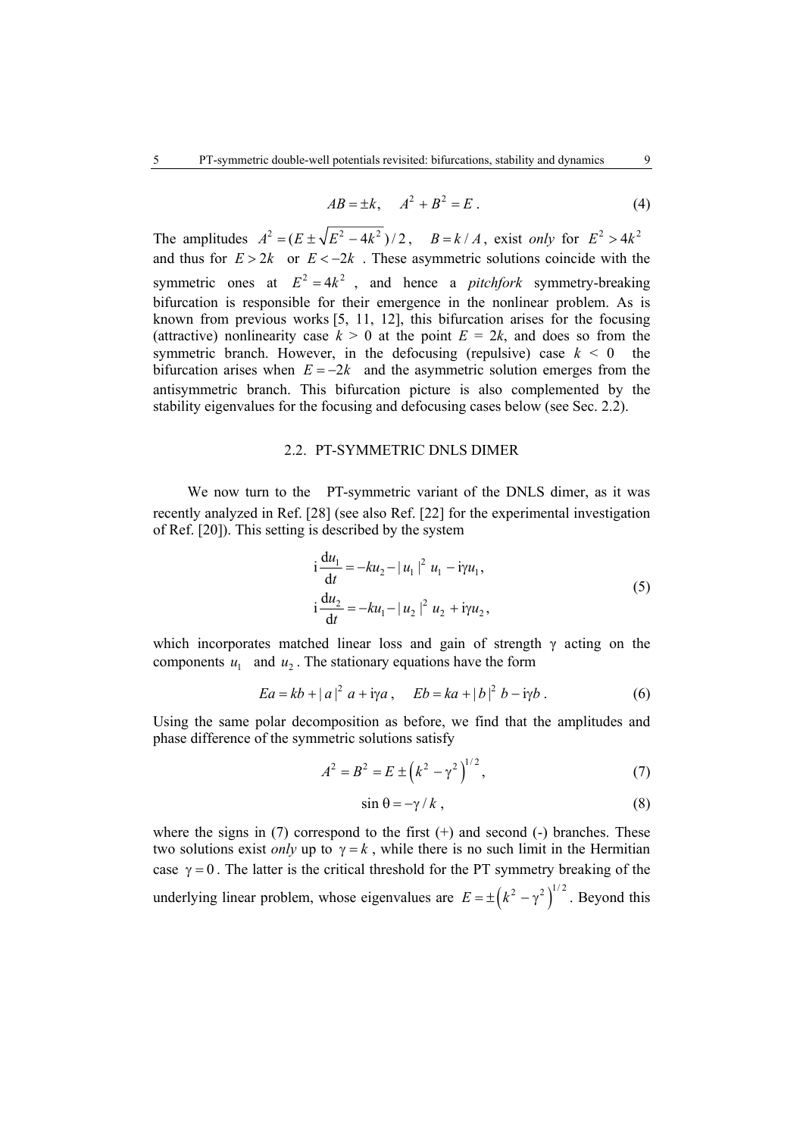$$
AB = \pm k, \quad A^2 + B^2 = E \tag{4}
$$

The amplitudes  $A^2 = (E \pm \sqrt{E^2 - 4k^2})/2$ ,  $B = k/A$ , exist *only* for  $E^2 > 4k^2$ and thus for  $E > 2k$  or  $E < -2k$ . These asymmetric solutions coincide with the symmetric ones at  $E^2 = 4k^2$ , and hence a *pitchfork* symmetry-breaking bifurcation is responsible for their emergence in the nonlinear problem. As is known from previous works [5, 11, 12], this bifurcation arises for the focusing (attractive) nonlinearity case  $k > 0$  at the point  $E = 2k$ , and does so from the symmetric branch. However, in the defocusing (repulsive) case  $k \leq 0$  the bifurcation arises when  $E = -2k$  and the asymmetric solution emerges from the antisymmetric branch. This bifurcation picture is also complemented by the stability eigenvalues for the focusing and defocusing cases below (see Sec. 2.2).

## 2.2. PT-SYMMETRIC DNLS DIMER

We now turn to the PT-symmetric variant of the DNLS dimer, as it was recently analyzed in Ref. [28] (see also Ref. [22] for the experimental investigation of Ref. [20]). This setting is described by the system

$$
i\frac{du_1}{dt} = -ku_2 - |u_1|^2 u_1 - i\gamma u_1,
$$
  
\n
$$
i\frac{du_2}{dt} = -ku_1 - |u_2|^2 u_2 + i\gamma u_2,
$$
\n(5)

which incorporates matched linear loss and gain of strength  $\gamma$  acting on the components  $u_1$  and  $u_2$ . The stationary equations have the form

$$
Ea = kb + |a|^2 \ a + i\gamma a \,, \quad Eb = ka + |b|^2 \ b - i\gamma b \,. \tag{6}
$$

Using the same polar decomposition as before, we find that the amplitudes and phase difference of the symmetric solutions satisfy

$$
A^{2} = B^{2} = E \pm (k^{2} - \gamma^{2})^{1/2},
$$
 (7)

$$
\sin \theta = -\gamma / k \,, \tag{8}
$$

where the signs in  $(7)$  correspond to the first  $(+)$  and second  $(-)$  branches. These two solutions exist *only* up to  $\gamma = k$ , while there is no such limit in the Hermitian case  $\gamma = 0$ . The latter is the critical threshold for the PT symmetry breaking of the underlying linear problem, whose eigenvalues are  $E = \pm (k^2 - \gamma^2)^{1/2}$ . Beyond this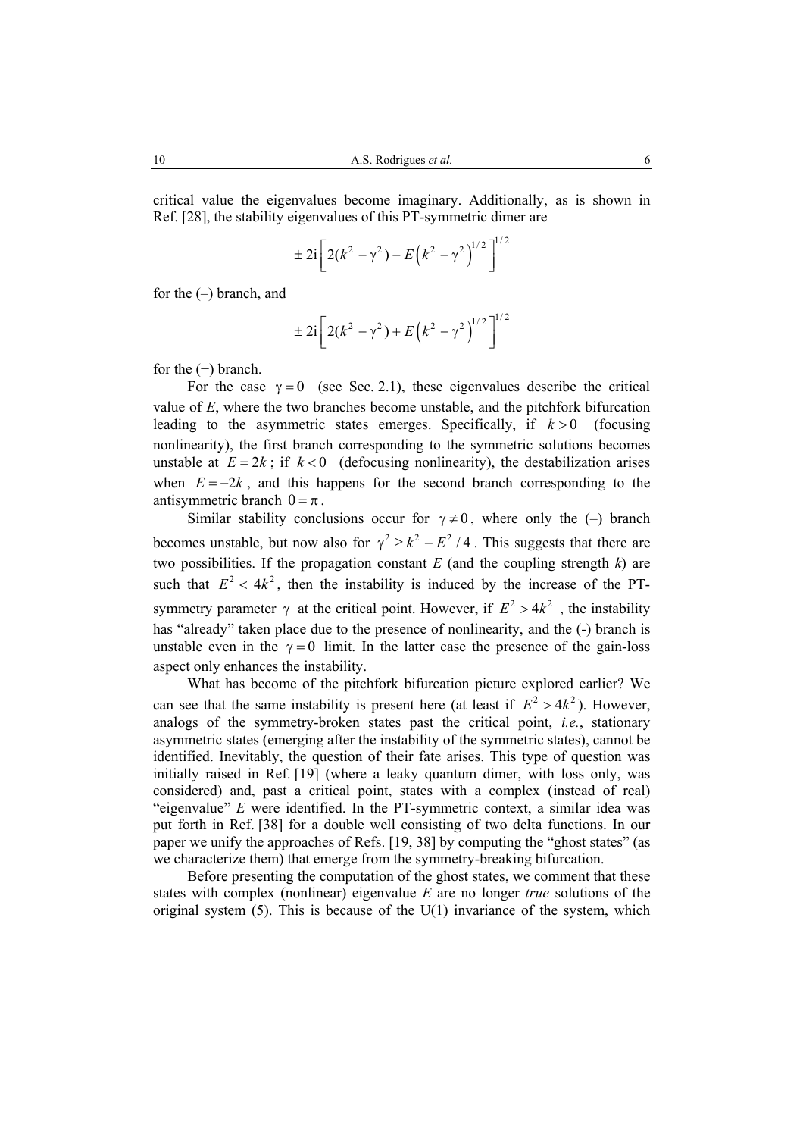critical value the eigenvalues become imaginary. Additionally, as is shown in Ref. [28], the stability eigenvalues of this PT-symmetric dimer are

$$
\pm 2i \left[ 2(k^2 - \gamma^2) - E(k^2 - \gamma^2)^{1/2} \right]^{1/2}
$$

for the (–) branch, and

$$
\pm 2i \left[ 2(k^2 - \gamma^2) + E(k^2 - \gamma^2) \right]^{1/2}
$$

for the  $(+)$  branch.

For the case  $\gamma = 0$  (see Sec. 2.1), these eigenvalues describe the critical value of *E*, where the two branches become unstable, and the pitchfork bifurcation leading to the asymmetric states emerges. Specifically, if  $k > 0$  (focusing nonlinearity), the first branch corresponding to the symmetric solutions becomes unstable at  $E = 2k$ ; if  $k < 0$  (defocusing nonlinearity), the destabilization arises when  $E = -2k$ , and this happens for the second branch corresponding to the antisymmetric branch  $\theta = \pi$ .

Similar stability conclusions occur for  $\gamma \neq 0$ , where only the (–) branch becomes unstable, but now also for  $\gamma^2 \ge k^2 - E^2 / 4$ . This suggests that there are two possibilities. If the propagation constant  $E$  (and the coupling strength  $k$ ) are such that  $E^2 < 4k^2$ , then the instability is induced by the increase of the PTsymmetry parameter  $\gamma$  at the critical point. However, if  $E^2 > 4k^2$ , the instability has "already" taken place due to the presence of nonlinearity, and the (-) branch is unstable even in the  $\gamma = 0$  limit. In the latter case the presence of the gain-loss aspect only enhances the instability.

What has become of the pitchfork bifurcation picture explored earlier? We can see that the same instability is present here (at least if  $E^2 > 4k^2$ ). However, analogs of the symmetry-broken states past the critical point, *i.e.*, stationary asymmetric states (emerging after the instability of the symmetric states), cannot be identified. Inevitably, the question of their fate arises. This type of question was initially raised in Ref. [19] (where a leaky quantum dimer, with loss only, was considered) and, past a critical point, states with a complex (instead of real) "eigenvalue" *E* were identified. In the PT-symmetric context, a similar idea was put forth in Ref. [38] for a double well consisting of two delta functions. In our paper we unify the approaches of Refs. [19, 38] by computing the "ghost states" (as we characterize them) that emerge from the symmetry-breaking bifurcation.

Before presenting the computation of the ghost states, we comment that these states with complex (nonlinear) eigenvalue *E* are no longer *true* solutions of the original system  $(5)$ . This is because of the U(1) invariance of the system, which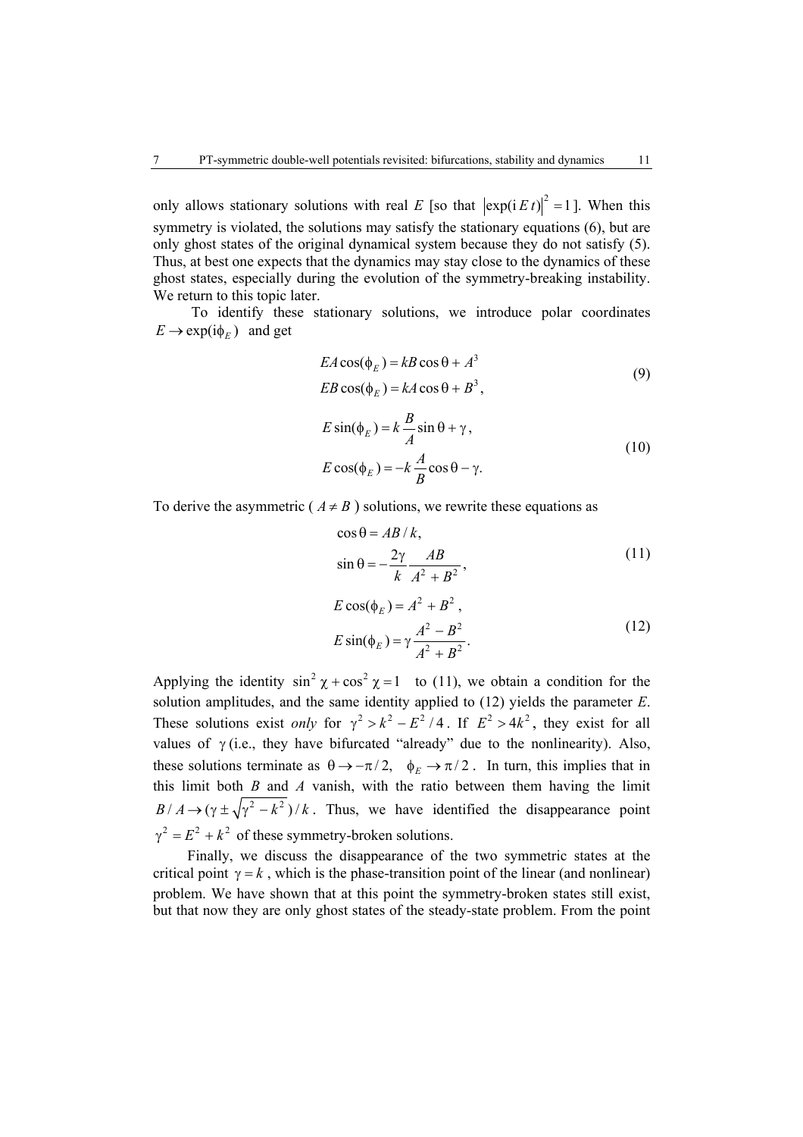only allows stationary solutions with real *E* [so that  $|\exp(i E t)|^2 = 1$ ]. When this symmetry is violated, the solutions may satisfy the stationary equations (6), but are only ghost states of the original dynamical system because they do not satisfy (5). Thus, at best one expects that the dynamics may stay close to the dynamics of these ghost states, especially during the evolution of the symmetry-breaking instability. We return to this topic later.

To identify these stationary solutions, we introduce polar coordinates  $E \to \exp(i \phi_F)$  and get

$$
EA\cos(\phi_E) = kB\cos\theta + A^3
$$
  
EB\cos(\phi\_E) = kA\cos\theta + B^3, (9)

$$
E \sin(\phi_E) = k \frac{B}{A} \sin \theta + \gamma,
$$
  
\n
$$
E \cos(\phi_E) = -k \frac{A}{B} \cos \theta - \gamma.
$$
\n(10)

To derive the asymmetric ( $A \neq B$ ) solutions, we rewrite these equations as

$$
\cos \theta = AB/k,
$$
  
\n
$$
\sin \theta = -\frac{2\gamma}{k} \frac{AB}{A^2 + B^2},
$$
\n(11)  
\n
$$
E \cos(\phi_E) = A^2 + B^2,
$$
\n(12)

$$
E\sin(\phi_E) = \gamma \frac{A^2 - B^2}{A^2 + B^2}.
$$
 (12)

Applying the identity  $\sin^2 \chi + \cos^2 \chi = 1$  to (11), we obtain a condition for the solution amplitudes, and the same identity applied to (12) yields the parameter *E*. These solutions exist *only* for  $\gamma^2 > k^2 - E^2/4$ . If  $E^2 > 4k^2$ , they exist for all values of  $\gamma$  (i.e., they have bifurcated "already" due to the nonlinearity). Also, these solutions terminate as  $\theta \rightarrow -\pi/2$ ,  $\phi_E \rightarrow \pi/2$ . In turn, this implies that in this limit both  $B$  and  $A$  vanish, with the ratio between them having the limit  $B/A \rightarrow (\gamma \pm \sqrt{\gamma^2 - k^2})/k$ . Thus, we have identified the disappearance point  $\gamma^2 = E^2 + k^2$  of these symmetry-broken solutions.

Finally, we discuss the disappearance of the two symmetric states at the critical point  $\gamma = k$ , which is the phase-transition point of the linear (and nonlinear) problem. We have shown that at this point the symmetry-broken states still exist, but that now they are only ghost states of the steady-state problem. From the point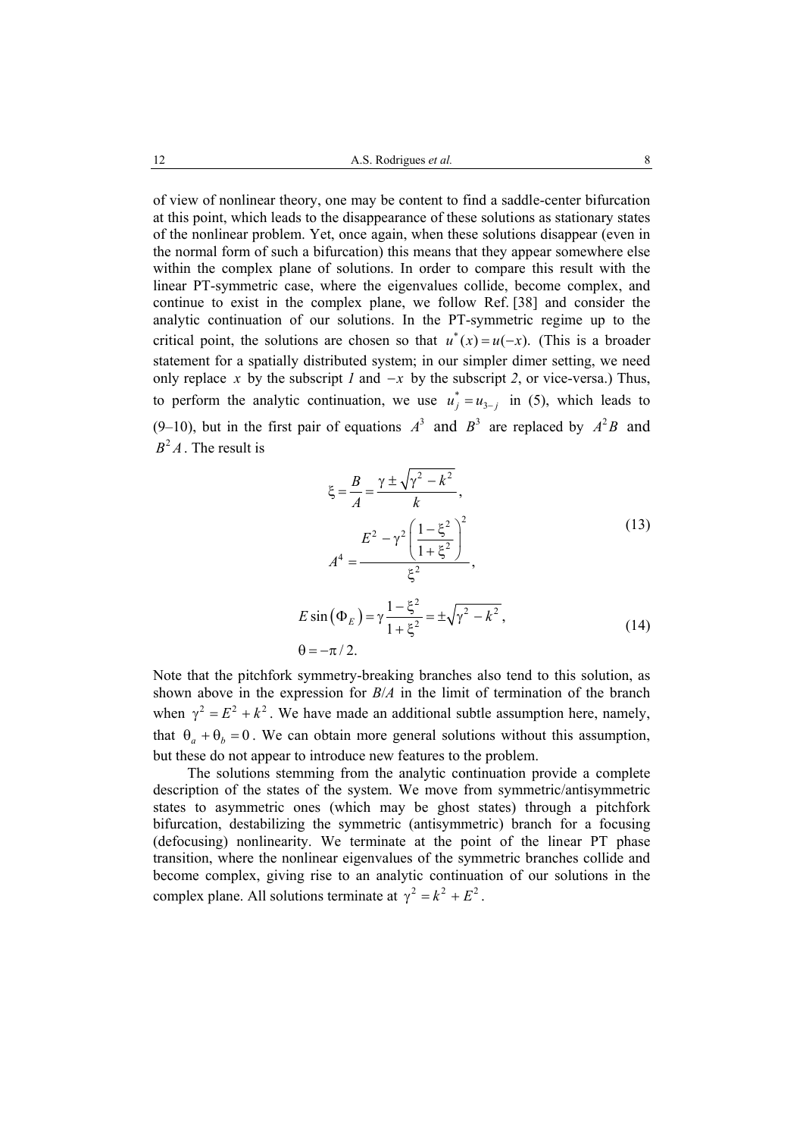of view of nonlinear theory, one may be content to find a saddle-center bifurcation at this point, which leads to the disappearance of these solutions as stationary states of the nonlinear problem. Yet, once again, when these solutions disappear (even in the normal form of such a bifurcation) this means that they appear somewhere else within the complex plane of solutions. In order to compare this result with the linear PT-symmetric case, where the eigenvalues collide, become complex, and continue to exist in the complex plane, we follow Ref. [38] and consider the analytic continuation of our solutions. In the PT-symmetric regime up to the critical point, the solutions are chosen so that  $u^*(x) = u(-x)$ . (This is a broader statement for a spatially distributed system; in our simpler dimer setting, we need only replace *x* by the subscript *1* and  $-x$  by the subscript *2*, or vice-versa.) Thus, to perform the analytic continuation, we use  $u_j^* = u_{3-j}$  in (5), which leads to (9–10), but in the first pair of equations  $A^3$  and  $B^3$  are replaced by  $A^2B$  and  $B^2 A$  The result is

$$
\xi = \frac{B}{A} = \frac{\gamma \pm \sqrt{\gamma^2 - k^2}}{k},
$$
  
\n
$$
A^4 = \frac{E^2 - \gamma^2 \left(\frac{1 - \xi^2}{1 + \xi^2}\right)^2}{\xi^2},
$$
  
\n
$$
E \sin(\Phi_E) = \gamma \frac{1 - \xi^2}{1 + \xi^2} = \pm \sqrt{\gamma^2 - k^2},
$$
  
\n
$$
\theta = -\pi/2.
$$
\n(14)

Note that the pitchfork symmetry-breaking branches also tend to this solution, as shown above in the expression for *B*/*A* in the limit of termination of the branch when  $\gamma^2 = E^2 + k^2$ . We have made an additional subtle assumption here, namely, that  $\theta_a + \theta_b = 0$ . We can obtain more general solutions without this assumption, but these do not appear to introduce new features to the problem.

The solutions stemming from the analytic continuation provide a complete description of the states of the system. We move from symmetric/antisymmetric states to asymmetric ones (which may be ghost states) through a pitchfork bifurcation, destabilizing the symmetric (antisymmetric) branch for a focusing (defocusing) nonlinearity. We terminate at the point of the linear PT phase transition, where the nonlinear eigenvalues of the symmetric branches collide and become complex, giving rise to an analytic continuation of our solutions in the complex plane. All solutions terminate at  $\gamma^2 = k^2 + E^2$ .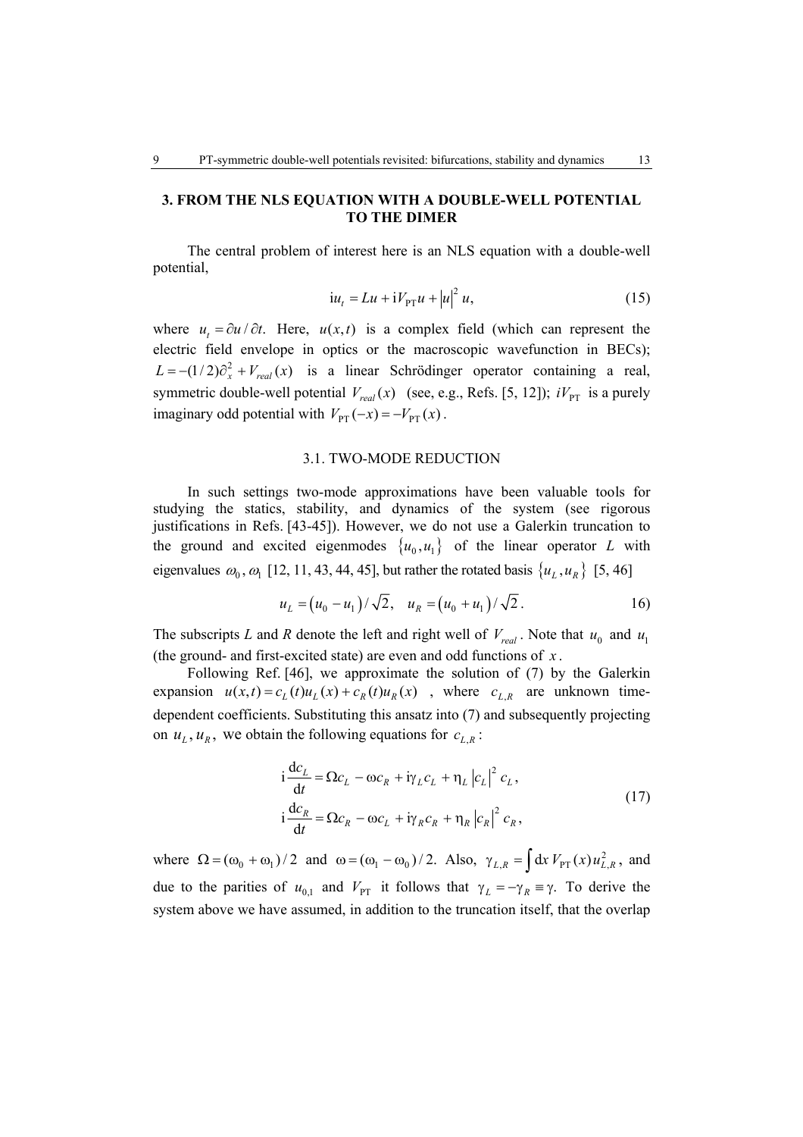# **3. FROM THE NLS EQUATION WITH A DOUBLE-WELL POTENTIAL TO THE DIMER**

The central problem of interest here is an NLS equation with a double-well potential,

$$
i u_t = L u + i V_{\text{PT}} u + |u|^2 u, \tag{15}
$$

where  $u_t = \partial u / \partial t$ . Here,  $u(x,t)$  is a complex field (which can represent the electric field envelope in optics or the macroscopic wavefunction in BECs);  $L = -(1/2)\partial_x^2 + V_{real}(x)$  is a linear Schrödinger operator containing a real, symmetric double-well potential  $V_{real}(x)$  (see, e.g., Refs. [5, 12]);  $iV_{PT}$  is a purely imaginary odd potential with  $V_{\text{PT}}(-x) = -V_{\text{PT}}(x)$ .

#### 3.1. TWO-MODE REDUCTION

In such settings two-mode approximations have been valuable tools for studying the statics, stability, and dynamics of the system (see rigorous justifications in Refs. [43-45]). However, we do not use a Galerkin truncation to the ground and excited eigenmodes  $\{u_0, u_1\}$  of the linear operator *L* with eigenvalues  $\omega_0$ ,  $\omega_1$  [12, 11, 43, 44, 45], but rather the rotated basis  $\{u_L, u_R\}$  [5, 46]

$$
u_L = (u_0 - u_1) / \sqrt{2}, \quad u_R = (u_0 + u_1) / \sqrt{2}.
$$
 (16)

The subscripts *L* and *R* denote the left and right well of  $V_{real}$ . Note that  $u_0$  and  $u_1$ (the ground- and first-excited state) are even and odd functions of *x* .

Following Ref. [46], we approximate the solution of (7) by the Galerkin expansion  $u(x,t) = c_L(t)u_L(x) + c_R(t)u_R(x)$ , where  $c_{L,R}$  are unknown timedependent coefficients. Substituting this ansatz into (7) and subsequently projecting on  $u_L$ ,  $u_R$ , we obtain the following equations for  $c_{L,R}$ .

$$
i\frac{dc_L}{dt} = \Omega c_L - \omega c_R + i\gamma_L c_L + \eta_L |c_L|^2 c_L,
$$
  
\n
$$
i\frac{dc_R}{dt} = \Omega c_R - \omega c_L + i\gamma_R c_R + \eta_R |c_R|^2 c_R,
$$
\n(17)

where  $\Omega = (\omega_0 + \omega_1)/2$  and  $\omega = (\omega_1 - \omega_0)/2$ . Also,  $\gamma_{L,R} = \int dx V_{PT}(x) u_{L,R}^2$ , and due to the parities of  $u_{0,1}$  and  $V_{PT}$  it follows that  $\gamma_L = -\gamma_R \equiv \gamma$ . To derive the system above we have assumed, in addition to the truncation itself, that the overlap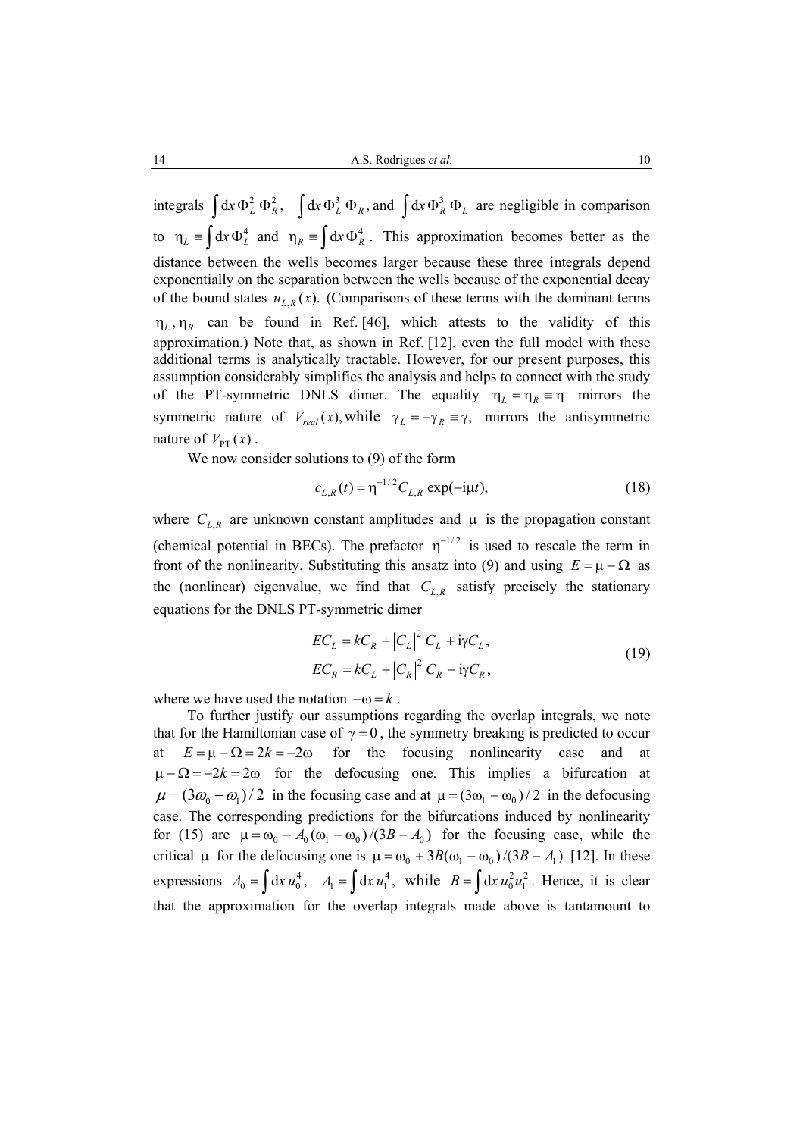integrals  $\int dx \Phi_L^2 \Phi_R^2$ ,  $\int dx \Phi_L^3 \Phi_R$ , and  $\int dx \Phi_R^3 \Phi_L$  are negligible in comparison to  $\eta_L = \int dx \Phi_L^4$  and  $\eta_R = \int dx \Phi_R^4$ . This approximation becomes better as the distance between the wells becomes larger because these three integrals depend exponentially on the separation between the wells because of the exponential decay of the bound states  $u_{L,R}(x)$ . *(Comparisons of these terms with the dominant terms*  $\eta_L$ ,  $\eta_R$  can be found in Ref. [46], which attests to the validity of this approximation.) Note that, as shown in Ref. [12], even the full model with these additional terms is analytically tractable. However, for our present purposes, this assumption considerably simplifies the analysis and helps to connect with the study of the PT-symmetric DNLS dimer. The equality  $\eta_L = \eta_R \equiv \eta$  mirrors the symmetric nature of  $V_{real}(x)$ , while  $\gamma_L = -\gamma_R = \gamma$ , mirrors the antisymmetric nature of  $V_{\text{PT}}(x)$ .

We now consider solutions to (9) of the form

$$
c_{L,R}(t) = \eta^{-1/2} C_{L,R} \exp(-i\mu t), \qquad (18)
$$

where  $C_{L,R}$  are unknown constant amplitudes and  $\mu$  is the propagation constant (chemical potential in BECs). The prefactor  $\eta^{-1/2}$  is used to rescale the term in front of the nonlinearity. Substituting this ansatz into (9) and using  $E = \mu - \Omega$  as the (nonlinear) eigenvalue, we find that  $C_{LR}$  satisfy precisely the stationary equations for the DNLS PT-symmetric dimer

$$
EC_L = kC_R + |C_L|^2 C_L + i\gamma C_L,
$$
  
\n
$$
EC_R = kC_L + |C_R|^2 C_R - i\gamma C_R,
$$
\n(19)

where we have used the notation  $-\omega = k$ .

To further justify our assumptions regarding the overlap integrals, we note that for the Hamiltonian case of  $\gamma = 0$ , the symmetry breaking is predicted to occur  $E = u - \Omega = 2k = -2\omega$  for the focusing nonlinearity case and at  $\mu - \Omega = -2k = 2\omega$  for the defocusing one. This implies a bifurcation at  $\mu = (3\omega_0 - \omega_1)/2$  in the focusing case and at  $\mu = (3\omega_1 - \omega_0)/2$  in the defocusing case. The corresponding predictions for the bifurcations induced by nonlinearity for (15) are  $\mu = \omega_0 - A_0 (\omega_1 - \omega_0)/(3B - A_0)$  for the focusing case, while the critical  $\mu$  for the defocusing one is  $\mu = \omega_0 + 3B(\omega_1 - \omega_0)/(3B - A_1)$  [12]. In these expressions  $A_0 = \int dx u_0^4$ ,  $A_1 = \int dx u_1^4$ , while  $B = \int dx u_0^2 u_1^2$ . Hence, it is clear that the approximation for the overlap integrals made above is tantamount to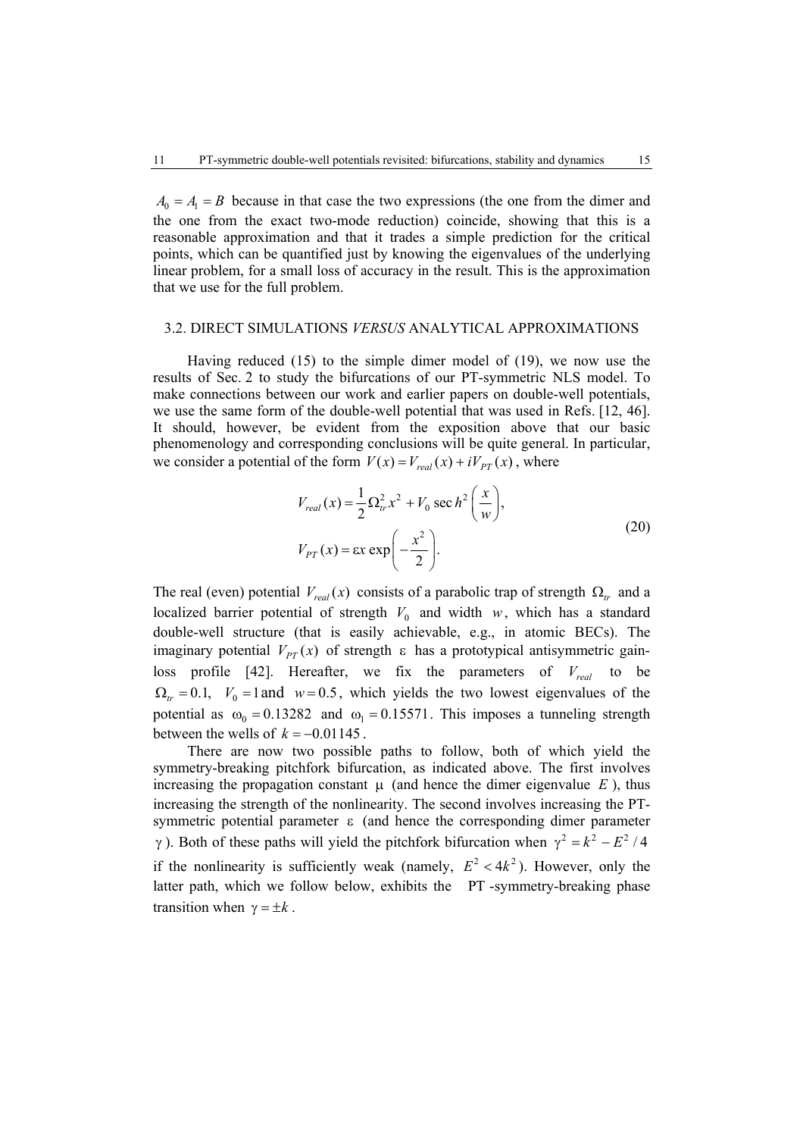$A_0 = A_1 = B$  because in that case the two expressions (the one from the dimer and the one from the exact two-mode reduction) coincide, showing that this is a reasonable approximation and that it trades a simple prediction for the critical points, which can be quantified just by knowing the eigenvalues of the underlying linear problem, for a small loss of accuracy in the result. This is the approximation that we use for the full problem.

#### 3.2. DIRECT SIMULATIONS *VERSUS* ANALYTICAL APPROXIMATIONS

Having reduced (15) to the simple dimer model of (19), we now use the results of Sec. 2 to study the bifurcations of our PT-symmetric NLS model. To make connections between our work and earlier papers on double-well potentials, we use the same form of the double-well potential that was used in Refs. [12, 46]. It should, however, be evident from the exposition above that our basic phenomenology and corresponding conclusions will be quite general. In particular, we consider a potential of the form  $V(x) = V_{real}(x) + iV_{PT}(x)$ , where

$$
V_{real}(x) = \frac{1}{2} \Omega_{tr}^2 x^2 + V_0 \sec h^2 \left(\frac{x}{w}\right),
$$
  

$$
V_{PT}(x) = \epsilon x \exp\left(-\frac{x^2}{2}\right).
$$
 (20)

The real (even) potential  $V_{real}(x)$  consists of a parabolic trap of strength  $\Omega_{tr}$  and a localized barrier potential of strength  $V_0$  and width *w*, which has a standard double-well structure (that is easily achievable, e.g., in atomic BECs). The imaginary potential  $V_{PT}(x)$  of strength  $\varepsilon$  has a prototypical antisymmetric gainloss profile [42]. Hereafter, we fix the parameters of  $V_{real}$  to be  $\Omega_{tr} = 0.1$ ,  $V_0 = 1$  and  $w = 0.5$ , which yields the two lowest eigenvalues of the potential as  $\omega_0 = 0.13282$  and  $\omega_1 = 0.15571$ . This imposes a tunneling strength between the wells of  $k = -0.01145$ .

There are now two possible paths to follow, both of which yield the symmetry-breaking pitchfork bifurcation, as indicated above. The first involves increasing the propagation constant  $\mu$  (and hence the dimer eigenvalue  $E$ ), thus increasing the strength of the nonlinearity. The second involves increasing the PTsymmetric potential parameter ε (and hence the corresponding dimer parameter γ). Both of these paths will yield the pitchfork bifurcation when  $γ<sup>2</sup> = k<sup>2</sup> – E<sup>2</sup> / 4$ if the nonlinearity is sufficiently weak (namely,  $E^2 < 4k^2$ ). However, only the latter path, which we follow below, exhibits the PT -symmetry-breaking phase transition when  $\gamma = \pm k$ .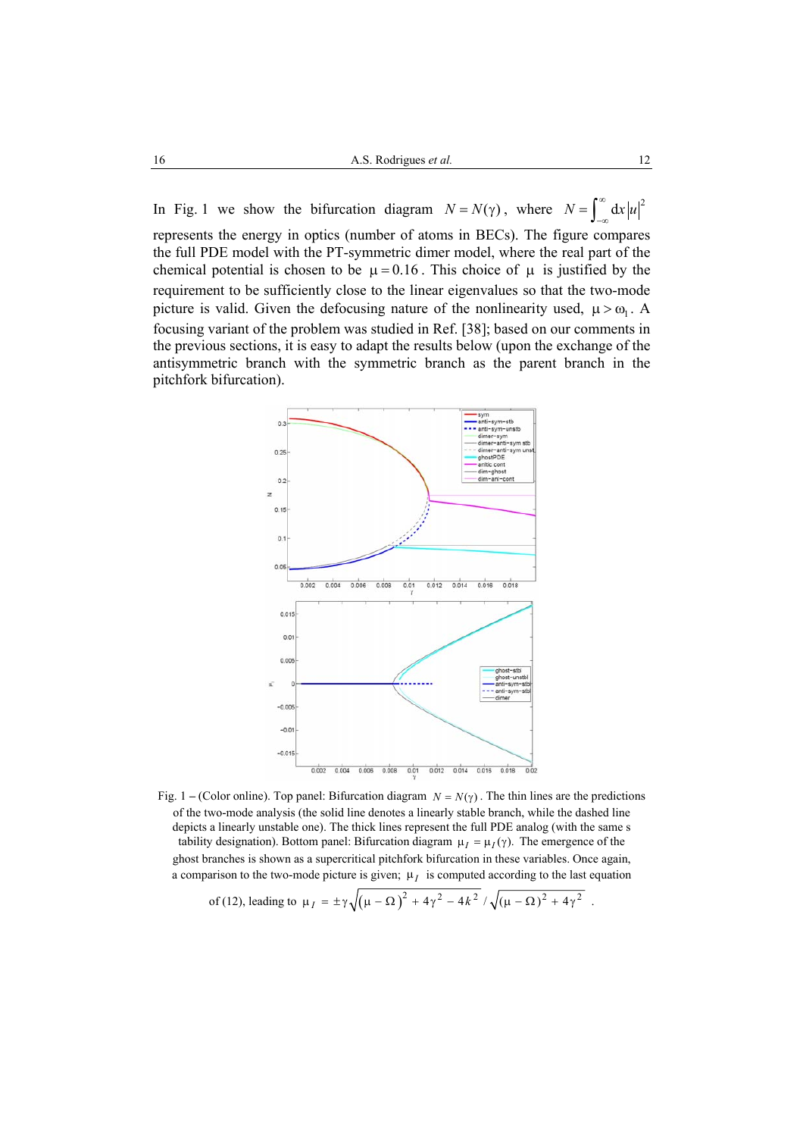In Fig. 1 we show the bifurcation diagram  $N = N(\gamma)$ , where  $N = \int_{-\infty}^{\infty} dx |u|^2$ represents the energy in optics (number of atoms in BECs). The figure compares the full PDE model with the PT-symmetric dimer model, where the real part of the chemical potential is chosen to be  $\mu = 0.16$ . This choice of  $\mu$  is justified by the requirement to be sufficiently close to the linear eigenvalues so that the two-mode picture is valid. Given the defocusing nature of the nonlinearity used,  $\mu > \omega_1$ . A focusing variant of the problem was studied in Ref. [38]; based on our comments in the previous sections, it is easy to adapt the results below (upon the exchange of the antisymmetric branch with the symmetric branch as the parent branch in the pitchfork bifurcation).



Fig. 1 – (Color online). Top panel: Bifurcation diagram  $N = N(\gamma)$ . The thin lines are the predictions of the two-mode analysis (the solid line denotes a linearly stable branch, while the dashed line depicts a linearly unstable one). The thick lines represent the full PDE analog (with the same s tability designation). Bottom panel: Bifurcation diagram  $\mu_I = \mu_I(\gamma)$ . The emergence of the ghost branches is shown as a supercritical pitchfork bifurcation in these variables. Once again, a comparison to the two-mode picture is given;  $\mu_l$  is computed according to the last equation

of (12), leading to 
$$
\mu_I = \pm \gamma \sqrt{(\mu - \Omega)^2 + 4\gamma^2 - 4k^2 / \sqrt{(\mu - \Omega)^2 + 4\gamma^2}}
$$
.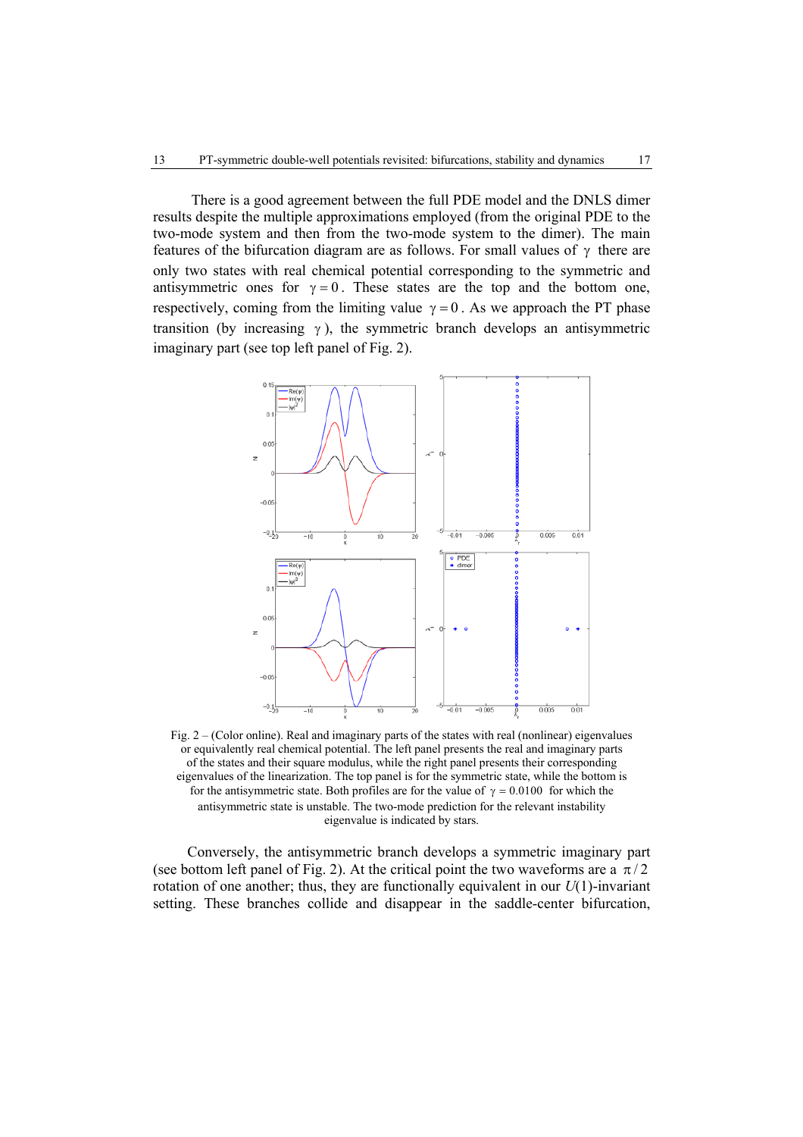There is a good agreement between the full PDE model and the DNLS dimer results despite the multiple approximations employed (from the original PDE to the two-mode system and then from the two-mode system to the dimer). The main features of the bifurcation diagram are as follows. For small values of  $\gamma$  there are only two states with real chemical potential corresponding to the symmetric and antisymmetric ones for  $\gamma = 0$ . These states are the top and the bottom one, respectively, coming from the limiting value  $\gamma = 0$ . As we approach the PT phase transition (by increasing  $\gamma$ ), the symmetric branch develops an antisymmetric imaginary part (see top left panel of Fig. 2).



Fig. 2 – (Color online). Real and imaginary parts of the states with real (nonlinear) eigenvalues or equivalently real chemical potential. The left panel presents the real and imaginary parts of the states and their square modulus, while the right panel presents their corresponding eigenvalues of the linearization. The top panel is for the symmetric state, while the bottom is for the antisymmetric state. Both profiles are for the value of  $\gamma = 0.0100$  for which the antisymmetric state is unstable. The two-mode prediction for the relevant instability eigenvalue is indicated by stars.

Conversely, the antisymmetric branch develops a symmetric imaginary part (see bottom left panel of Fig. 2). At the critical point the two waveforms are a  $\pi/2$ rotation of one another; thus, they are functionally equivalent in our  $U(1)$ -invariant setting. These branches collide and disappear in the saddle-center bifurcation,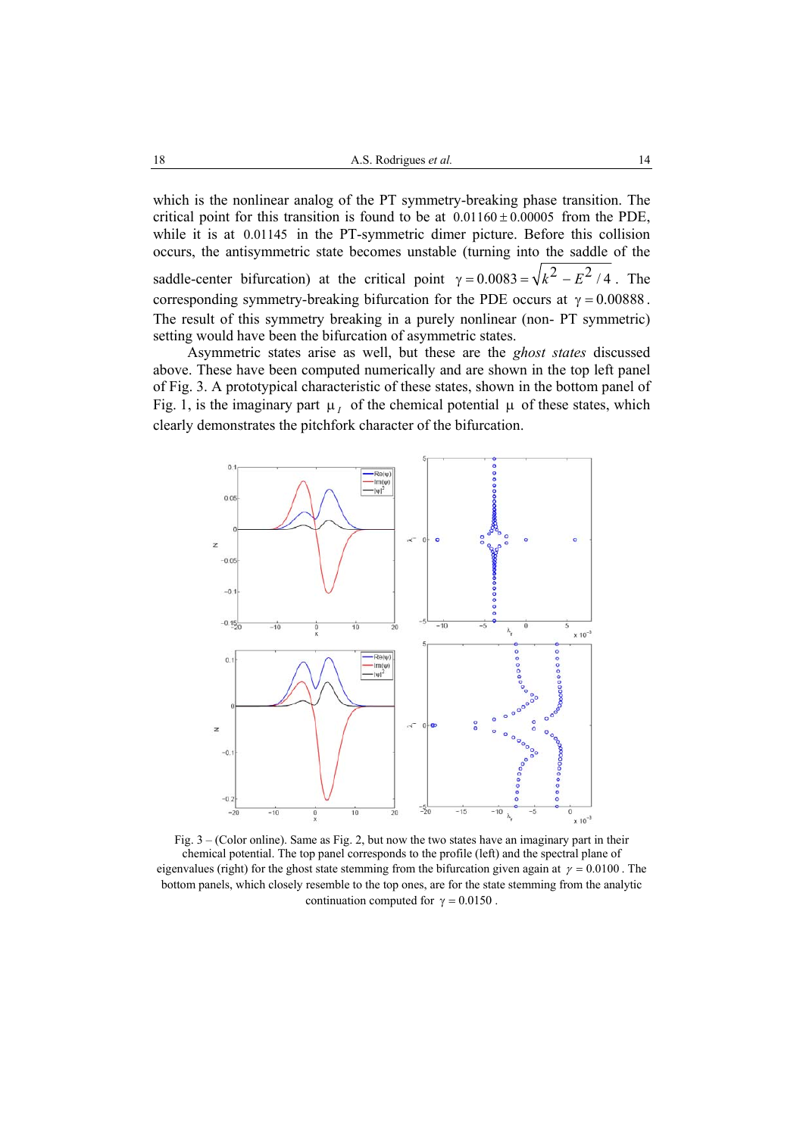which is the nonlinear analog of the PT symmetry-breaking phase transition. The critical point for this transition is found to be at  $0.01160 \pm 0.00005$  from the PDE, while it is at 0.01145 in the PT-symmetric dimer picture. Before this collision occurs, the antisymmetric state becomes unstable (turning into the saddle of the saddle-center bifurcation) at the critical point  $\gamma = 0.0083 = \sqrt{k^2 - E^2/4}$ . The corresponding symmetry-breaking bifurcation for the PDE occurs at  $\gamma = 0.00888$ . The result of this symmetry breaking in a purely nonlinear (non- PT symmetric) setting would have been the bifurcation of asymmetric states.

Asymmetric states arise as well, but these are the *ghost states* discussed above. These have been computed numerically and are shown in the top left panel of Fig. 3. A prototypical characteristic of these states, shown in the bottom panel of Fig. 1, is the imaginary part  $\mu_l$  of the chemical potential  $\mu$  of these states, which clearly demonstrates the pitchfork character of the bifurcation.



Fig. 3 – (Color online). Same as Fig. 2, but now the two states have an imaginary part in their chemical potential. The top panel corresponds to the profile (left) and the spectral plane of eigenvalues (right) for the ghost state stemming from the bifurcation given again at  $\gamma = 0.0100$ . The bottom panels, which closely resemble to the top ones, are for the state stemming from the analytic continuation computed for  $\gamma = 0.0150$ .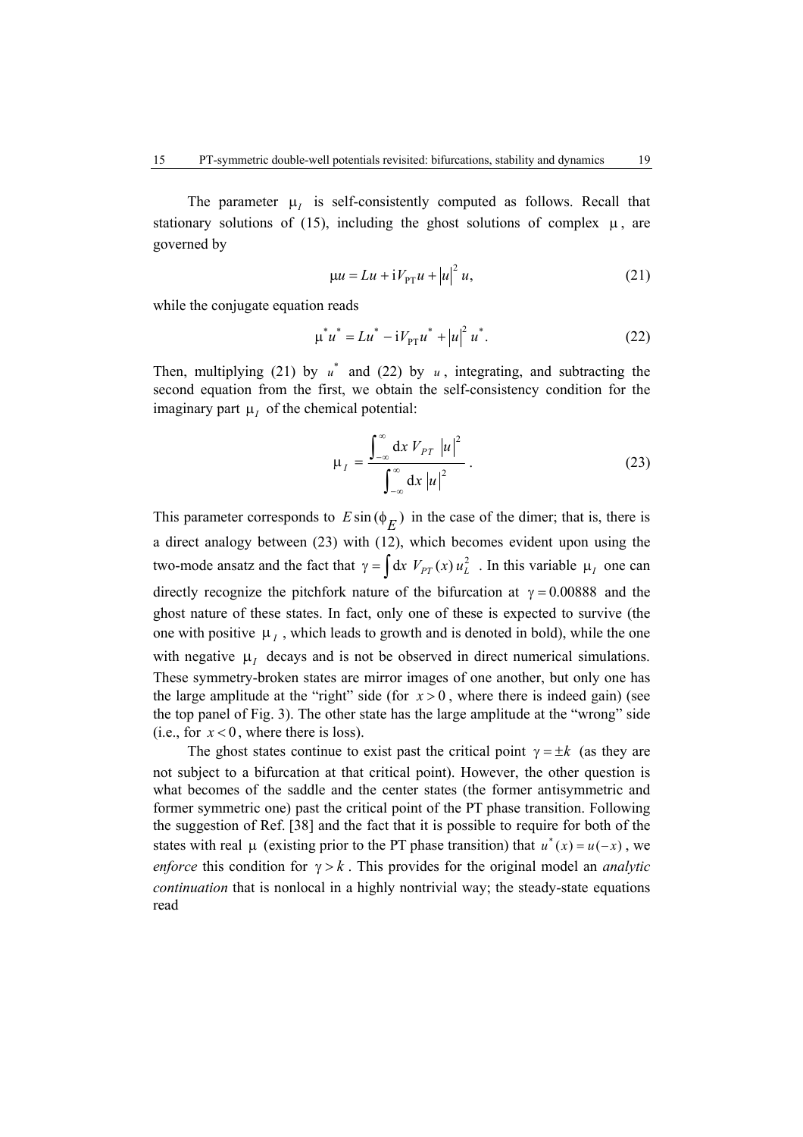The parameter  $\mu$ <sub>*I*</sub> is self-consistently computed as follows. Recall that stationary solutions of (15), including the ghost solutions of complex  $\mu$ , are governed by

$$
\mu u = Lu + iV_{PT}u + |u|^2 u,\tag{21}
$$

while the conjugate equation reads

$$
\mu^* u^* = L u^* - i V_{\text{PT}} u^* + |u|^2 u^*.
$$
 (22)

Then, multiplying (21) by  $u^*$  and (22) by  $u$ , integrating, and subtracting the second equation from the first, we obtain the self-consistency condition for the imaginary part  $\mu$ <sup>*I*</sup> of the chemical potential:

$$
\mu_{I} = \frac{\int_{-\infty}^{\infty} dx V_{PT} |u|^2}{\int_{-\infty}^{\infty} dx |u|^2}.
$$
 (23)

This parameter corresponds to  $E \sin (\phi_E)$  in the case of the dimer; that is, there is a direct analogy between (23) with (12), which becomes evident upon using the two-mode ansatz and the fact that  $\gamma = \int dx V_{PT}(x) u_L^2$ . In this variable  $\mu_I$  one can directly recognize the pitchfork nature of the bifurcation at  $\gamma = 0.00888$  and the ghost nature of these states. In fact, only one of these is expected to survive (the one with positive  $\mu_I$ , which leads to growth and is denoted in bold), while the one with negative  $\mu$ <sub>*I*</sub> decays and is not be observed in direct numerical simulations. These symmetry-broken states are mirror images of one another, but only one has the large amplitude at the "right" side (for  $x > 0$ , where there is indeed gain) (see the top panel of Fig. 3). The other state has the large amplitude at the "wrong" side (i.e., for  $x < 0$ , where there is loss).

The ghost states continue to exist past the critical point  $\gamma = \pm k$  (as they are not subject to a bifurcation at that critical point). However, the other question is what becomes of the saddle and the center states (the former antisymmetric and former symmetric one) past the critical point of the PT phase transition. Following the suggestion of Ref. [38] and the fact that it is possible to require for both of the states with real  $\mu$  (existing prior to the PT phase transition) that  $u^*(x) = u(-x)$ , we *enforce* this condition for  $\gamma > k$ . This provides for the original model an *analytic continuation* that is nonlocal in a highly nontrivial way; the steady-state equations read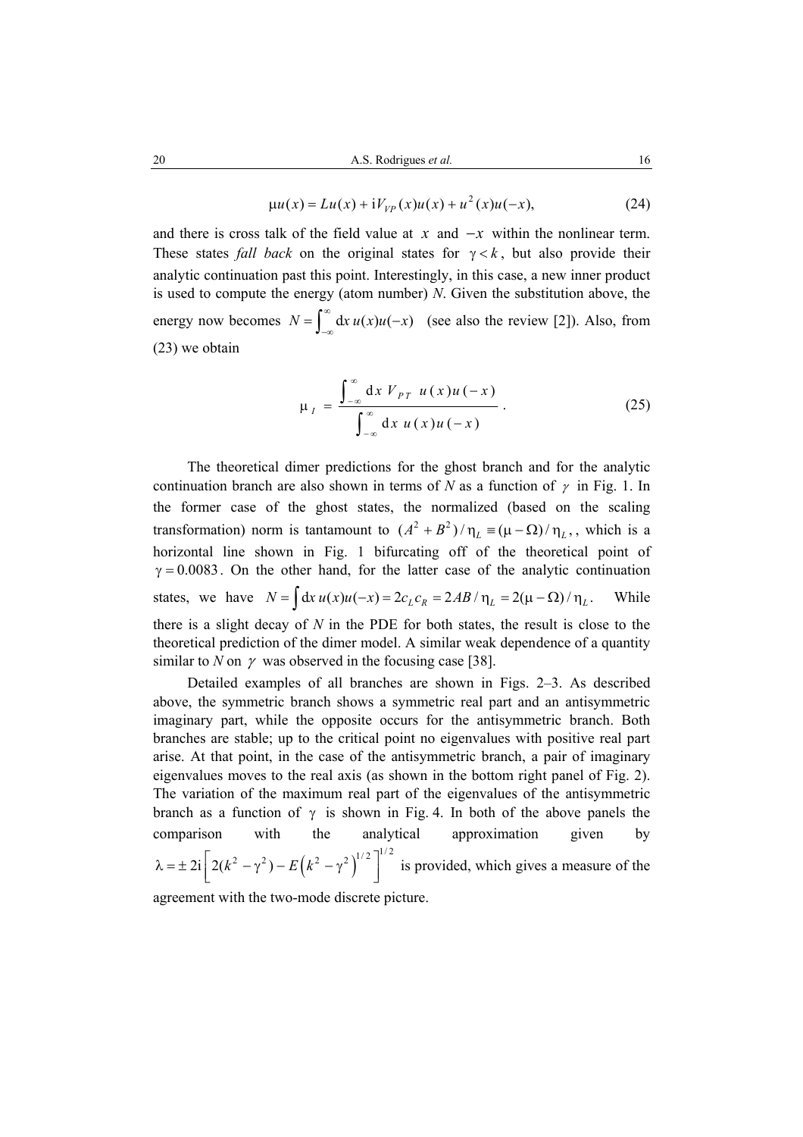$$
\mu u(x) = Lu(x) + iV_{VP}(x)u(x) + u^{2}(x)u(-x),
$$
\n(24)

and there is cross talk of the field value at *x* and  $-x$  within the nonlinear term. These states *fall back* on the original states for  $\gamma < k$ , but also provide their analytic continuation past this point. Interestingly, in this case, a new inner product is used to compute the energy (atom number) *N*. Given the substitution above, the energy now becomes  $N = \int_{-\infty}^{\infty} dx u(x) u(-x)$  (see also the review [2]). Also, from (23) we obtain

$$
\mu_I = \frac{\int_{-\infty}^{\infty} dx V_{PT} u(x) u(-x)}{\int_{-\infty}^{\infty} dx u(x) u(-x)}.
$$
 (25)

The theoretical dimer predictions for the ghost branch and for the analytic continuation branch are also shown in terms of *N* as a function of  $\gamma$  in Fig. 1. In the former case of the ghost states, the normalized (based on the scaling transformation) norm is tantamount to  $(A^2 + B^2)/\eta_L \equiv (\mu - \Omega)/\eta_L$ , which is a horizontal line shown in Fig. 1 bifurcating off of the theoretical point of  $\gamma = 0.0083$ . On the other hand, for the latter case of the analytic continuation states, we have  $N = \int dx u(x) u(-x) = 2c_L c_R = 2AB/\eta_L = 2(\mu - \Omega)/\eta_L$ . While there is a slight decay of *N* in the PDE for both states, the result is close to the theoretical prediction of the dimer model. A similar weak dependence of a quantity similar to *N* on  $\gamma$  was observed in the focusing case [38].

Detailed examples of all branches are shown in Figs. 2–3. As described above, the symmetric branch shows a symmetric real part and an antisymmetric imaginary part, while the opposite occurs for the antisymmetric branch. Both branches are stable; up to the critical point no eigenvalues with positive real part arise. At that point, in the case of the antisymmetric branch, a pair of imaginary eigenvalues moves to the real axis (as shown in the bottom right panel of Fig. 2). The variation of the maximum real part of the eigenvalues of the antisymmetric branch as a function of  $\gamma$  is shown in Fig. 4. In both of the above panels the comparison with the analytical approximation given by  $\lambda = \pm 2i \left[ 2(k^2 - \gamma^2) - E(k^2 - \gamma^2) \right]^{1/2}$  is provided, which gives a measure of the

agreement with the two-mode discrete picture.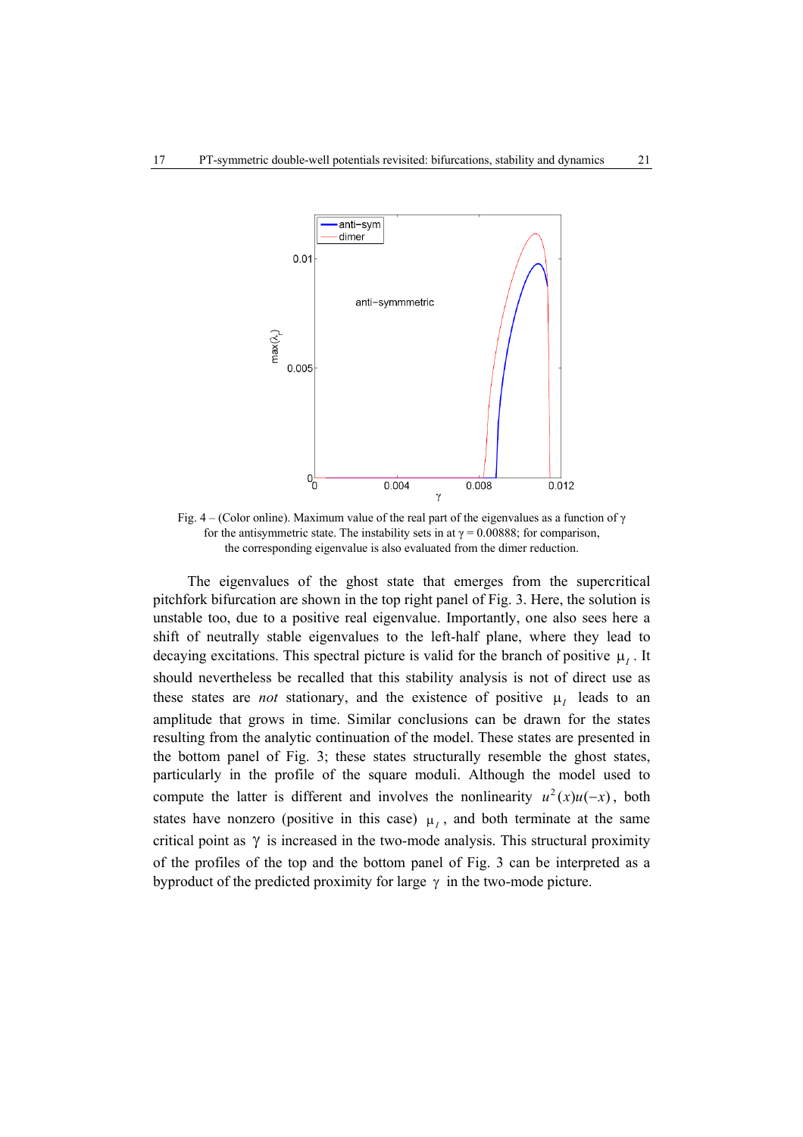

Fig. 4 – (Color online). Maximum value of the real part of the eigenvalues as a function of  $\gamma$ for the antisymmetric state. The instability sets in at  $\gamma = 0.00888$ ; for comparison, the corresponding eigenvalue is also evaluated from the dimer reduction.

The eigenvalues of the ghost state that emerges from the supercritical pitchfork bifurcation are shown in the top right panel of Fig. 3. Here, the solution is unstable too, due to a positive real eigenvalue. Importantly, one also sees here a shift of neutrally stable eigenvalues to the left-half plane, where they lead to decaying excitations. This spectral picture is valid for the branch of positive  $\mu$ <sup>*I*</sup>. It should nevertheless be recalled that this stability analysis is not of direct use as these states are *not* stationary, and the existence of positive  $\mu$ <sub>I</sub> leads to an amplitude that grows in time. Similar conclusions can be drawn for the states resulting from the analytic continuation of the model. These states are presented in the bottom panel of Fig. 3; these states structurally resemble the ghost states, particularly in the profile of the square moduli. Although the model used to compute the latter is different and involves the nonlinearity  $u^2(x)u(-x)$ , both states have nonzero (positive in this case)  $\mu$ <sub>*I*</sub>, and both terminate at the same critical point as  $\gamma$  is increased in the two-mode analysis. This structural proximity of the profiles of the top and the bottom panel of Fig. 3 can be interpreted as a byproduct of the predicted proximity for large  $\gamma$  in the two-mode picture.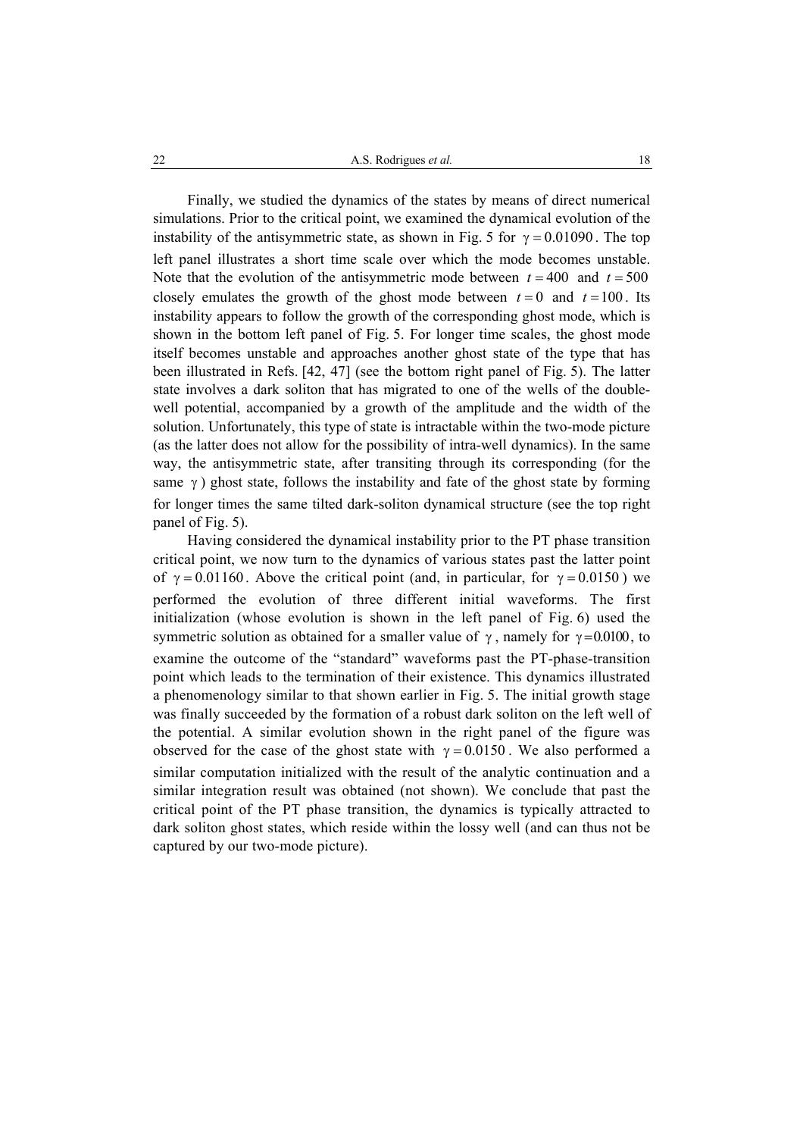Finally, we studied the dynamics of the states by means of direct numerical simulations. Prior to the critical point, we examined the dynamical evolution of the instability of the antisymmetric state, as shown in Fig. 5 for  $\gamma = 0.01090$ . The top left panel illustrates a short time scale over which the mode becomes unstable. Note that the evolution of the antisymmetric mode between  $t = 400$  and  $t = 500$ closely emulates the growth of the ghost mode between  $t = 0$  and  $t = 100$ . Its instability appears to follow the growth of the corresponding ghost mode, which is shown in the bottom left panel of Fig. 5. For longer time scales, the ghost mode itself becomes unstable and approaches another ghost state of the type that has been illustrated in Refs. [42, 47] (see the bottom right panel of Fig. 5). The latter state involves a dark soliton that has migrated to one of the wells of the doublewell potential, accompanied by a growth of the amplitude and the width of the solution. Unfortunately, this type of state is intractable within the two-mode picture (as the latter does not allow for the possibility of intra-well dynamics). In the same way, the antisymmetric state, after transiting through its corresponding (for the same  $\gamma$ ) ghost state, follows the instability and fate of the ghost state by forming for longer times the same tilted dark-soliton dynamical structure (see the top right panel of Fig. 5).

Having considered the dynamical instability prior to the PT phase transition critical point, we now turn to the dynamics of various states past the latter point of  $\gamma = 0.01160$ . Above the critical point (and, in particular, for  $\gamma = 0.0150$ ) we performed the evolution of three different initial waveforms. The first initialization (whose evolution is shown in the left panel of Fig. 6) used the symmetric solution as obtained for a smaller value of  $\gamma$ , namely for  $\gamma = 0.0100$ , to examine the outcome of the "standard" waveforms past the PT-phase-transition point which leads to the termination of their existence. This dynamics illustrated a phenomenology similar to that shown earlier in Fig. 5. The initial growth stage was finally succeeded by the formation of a robust dark soliton on the left well of the potential. A similar evolution shown in the right panel of the figure was observed for the case of the ghost state with  $\gamma = 0.0150$ . We also performed a similar computation initialized with the result of the analytic continuation and a similar integration result was obtained (not shown). We conclude that past the critical point of the PT phase transition, the dynamics is typically attracted to dark soliton ghost states, which reside within the lossy well (and can thus not be captured by our two-mode picture).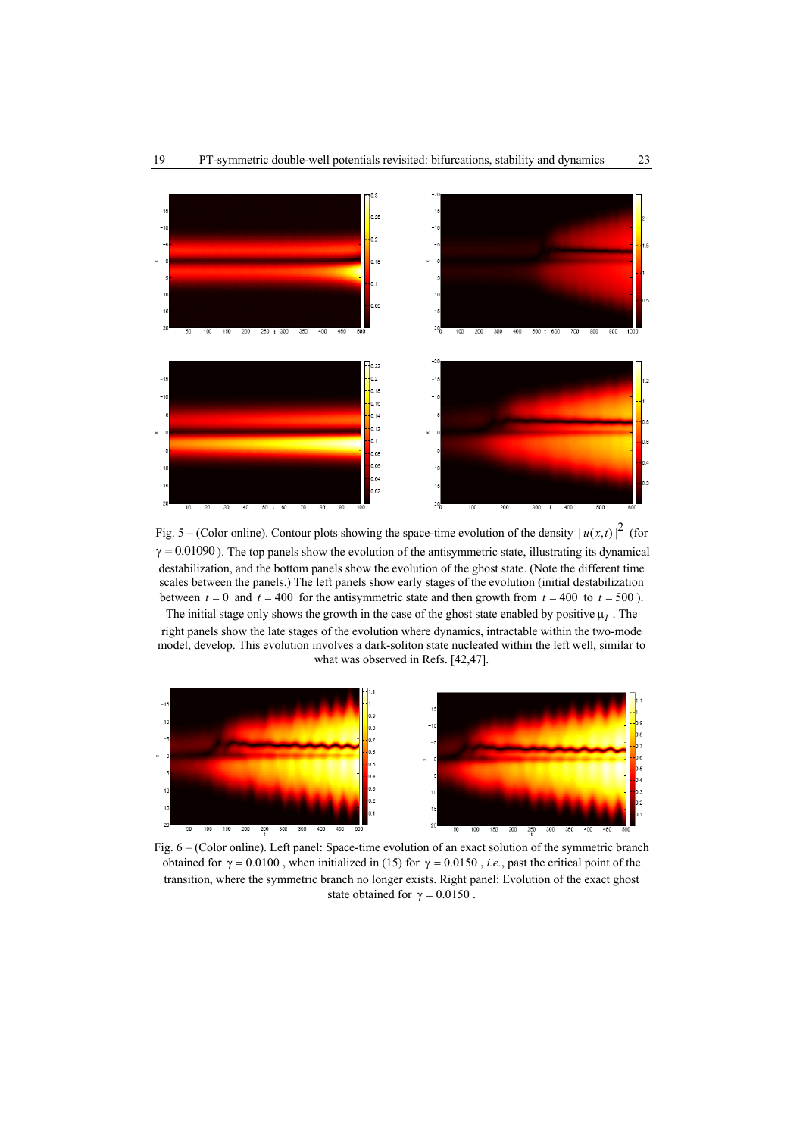

Fig. 5 – (Color online). Contour plots showing the space-time evolution of the density  $|u(x,t)|^2$  (for  $\gamma = 0.01090$ ). The top panels show the evolution of the antisymmetric state, illustrating its dynamical destabilization, and the bottom panels show the evolution of the ghost state. (Note the different time scales between the panels.) The left panels show early stages of the evolution (initial destabilization between  $t = 0$  and  $t = 400$  for the antisymmetric state and then growth from  $t = 400$  to  $t = 500$ ). The initial stage only shows the growth in the case of the ghost state enabled by positive  $\mu_I$ . The

right panels show the late stages of the evolution where dynamics, intractable within the two-mode model, develop. This evolution involves a dark-soliton state nucleated within the left well, similar to what was observed in Refs. [42,47].



Fig. 6 – (Color online). Left panel: Space-time evolution of an exact solution of the symmetric branch obtained for  $\gamma = 0.0100$ , when initialized in (15) for  $\gamma = 0.0150$ , *i.e.*, past the critical point of the transition, where the symmetric branch no longer exists. Right panel: Evolution of the exact ghost state obtained for  $\gamma = 0.0150$ .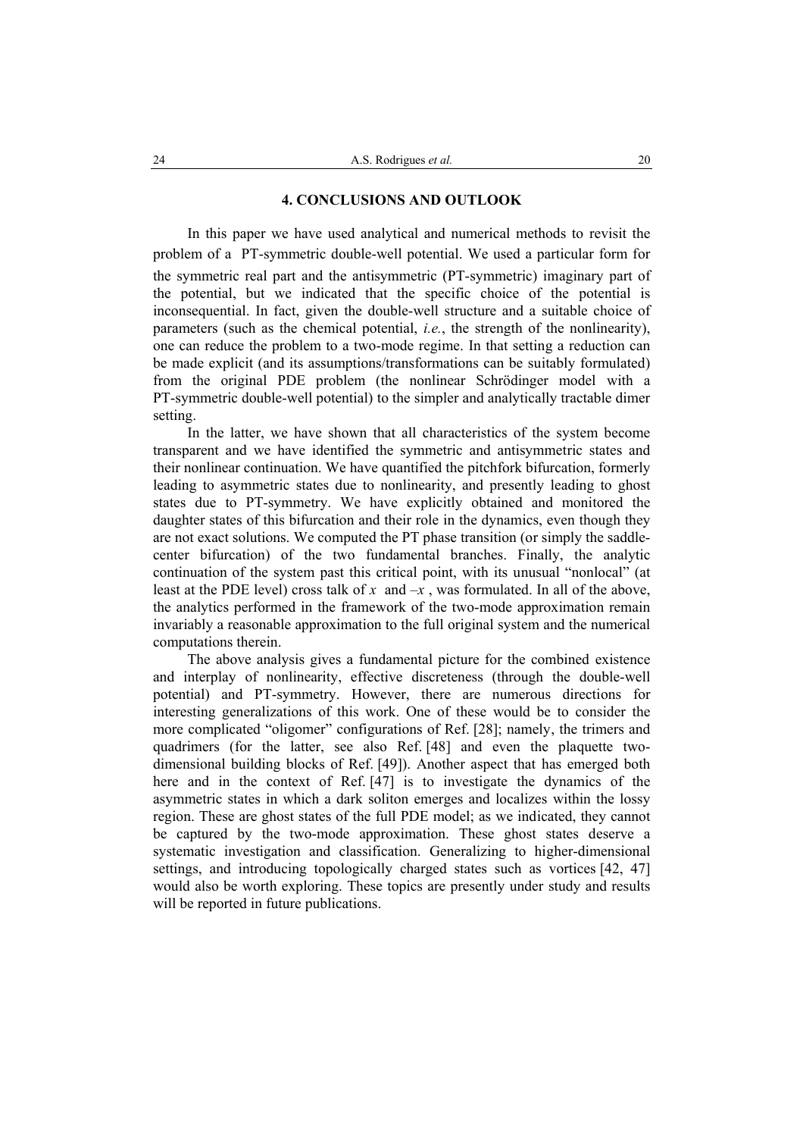### **4. CONCLUSIONS AND OUTLOOK**

In this paper we have used analytical and numerical methods to revisit the problem of a PT-symmetric double-well potential. We used a particular form for the symmetric real part and the antisymmetric (PT-symmetric) imaginary part of the potential, but we indicated that the specific choice of the potential is inconsequential. In fact, given the double-well structure and a suitable choice of parameters (such as the chemical potential, *i.e.*, the strength of the nonlinearity), one can reduce the problem to a two-mode regime. In that setting a reduction can be made explicit (and its assumptions/transformations can be suitably formulated) from the original PDE problem (the nonlinear Schrödinger model with a PT-symmetric double-well potential) to the simpler and analytically tractable dimer setting.

In the latter, we have shown that all characteristics of the system become transparent and we have identified the symmetric and antisymmetric states and their nonlinear continuation. We have quantified the pitchfork bifurcation, formerly leading to asymmetric states due to nonlinearity, and presently leading to ghost states due to PT-symmetry. We have explicitly obtained and monitored the daughter states of this bifurcation and their role in the dynamics, even though they are not exact solutions. We computed the PT phase transition (or simply the saddlecenter bifurcation) of the two fundamental branches. Finally, the analytic continuation of the system past this critical point, with its unusual "nonlocal" (at least at the PDE level) cross talk of x and  $-x$ , was formulated. In all of the above, the analytics performed in the framework of the two-mode approximation remain invariably a reasonable approximation to the full original system and the numerical computations therein.

The above analysis gives a fundamental picture for the combined existence and interplay of nonlinearity, effective discreteness (through the double-well potential) and PT-symmetry. However, there are numerous directions for interesting generalizations of this work. One of these would be to consider the more complicated "oligomer" configurations of Ref. [28]; namely, the trimers and quadrimers (for the latter, see also Ref. [48] and even the plaquette twodimensional building blocks of Ref. [49]). Another aspect that has emerged both here and in the context of Ref. [47] is to investigate the dynamics of the asymmetric states in which a dark soliton emerges and localizes within the lossy region. These are ghost states of the full PDE model; as we indicated, they cannot be captured by the two-mode approximation. These ghost states deserve a systematic investigation and classification. Generalizing to higher-dimensional settings, and introducing topologically charged states such as vortices [42, 47] would also be worth exploring. These topics are presently under study and results will be reported in future publications.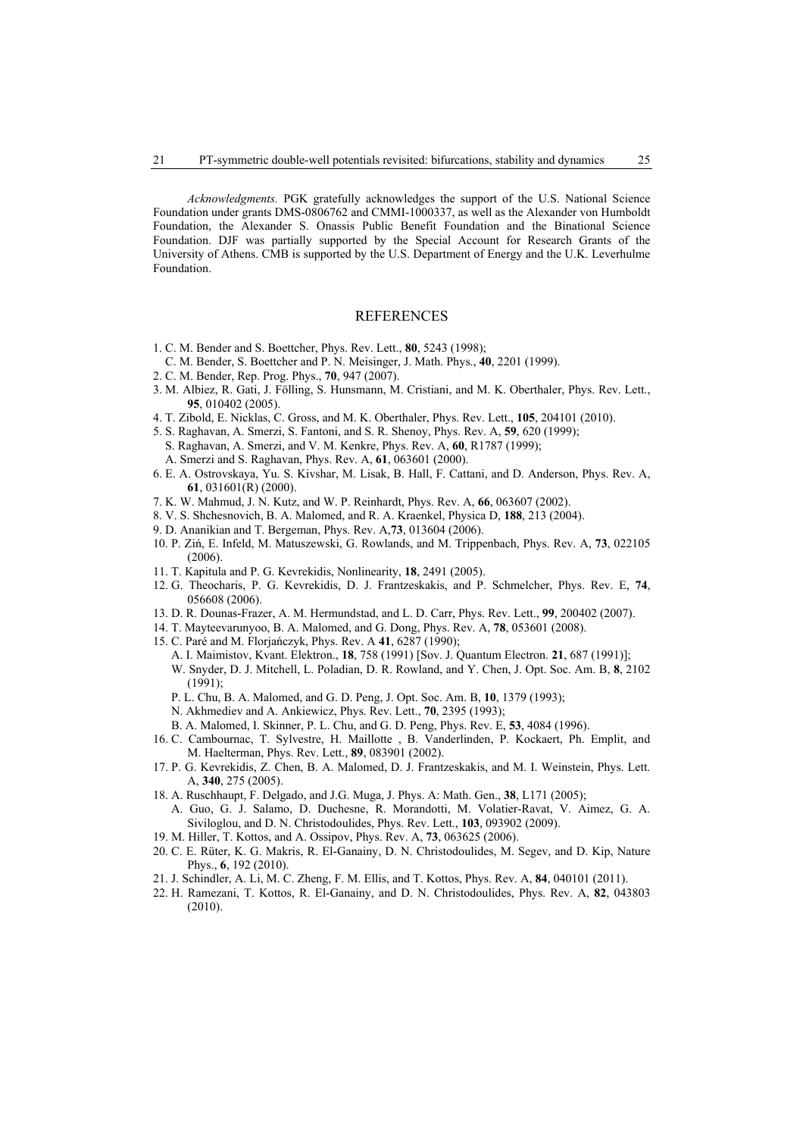*Acknowledgments.* PGK gratefully acknowledges the support of the U.S. National Science Foundation under grants DMS-0806762 and CMMI-1000337, as well as the Alexander von Humboldt Foundation, the Alexander S. Onassis Public Benefit Foundation and the Binational Science Foundation. DJF was partially supported by the Special Account for Research Grants of the University of Athens. CMB is supported by the U.S. Department of Energy and the U.K. Leverhulme Foundation.

#### **REFERENCES**

- 1. C. M. Bender and S. Boettcher, Phys. Rev. Lett., **80**, 5243 (1998);
- C. M. Bender, S. Boettcher and P. N. Meisinger, J. Math. Phys., **40**, 2201 (1999).
- 2. C. M. Bender, Rep. Prog. Phys., **70**, 947 (2007).
- 3. M. Albiez, R. Gati, J. Fölling, S. Hunsmann, M. Cristiani, and M. K. Oberthaler, Phys. Rev. Lett., **95**, 010402 (2005).
- 4. T. Zibold, E. Nicklas, C. Gross, and M. K. Oberthaler, Phys. Rev. Lett., **105**, 204101 (2010).
- 5. S. Raghavan, A. Smerzi, S. Fantoni, and S. R. Shenoy, Phys. Rev. A, **59**, 620 (1999);
- S. Raghavan, A. Smerzi, and V. M. Kenkre, Phys. Rev. A, **60**, R1787 (1999);
	- A. Smerzi and S. Raghavan, Phys. Rev. A, **61**, 063601 (2000).
- 6. E. A. Ostrovskaya, Yu. S. Kivshar, M. Lisak, B. Hall, F. Cattani, and D. Anderson, Phys. Rev. A, **61**, 031601(R) (2000).
- 7. K. W. Mahmud, J. N. Kutz, and W. P. Reinhardt, Phys. Rev. A, **66**, 063607 (2002).
- 8. V. S. Shchesnovich, B. A. Malomed, and R. A. Kraenkel, Physica D, **188**, 213 (2004).
- 9. D. Ananikian and T. Bergeman, Phys. Rev. A,**73**, 013604 (2006).
- 10. P. Ziń, E. Infeld, M. Matuszewski, G. Rowlands, and M. Trippenbach, Phys. Rev. A, **73**, 022105 (2006).
- 11. T. Kapitula and P. G. Kevrekidis, Nonlinearity, **18**, 2491 (2005).
- 12. G. Theocharis, P. G. Kevrekidis, D. J. Frantzeskakis, and P. Schmelcher, Phys. Rev. E, **74**, 056608 (2006).
- 13. D. R. Dounas-Frazer, A. M. Hermundstad, and L. D. Carr, Phys. Rev. Lett., **99**, 200402 (2007).
- 14. T. Mayteevarunyoo, B. A. Malomed, and G. Dong, Phys. Rev. A, **78**, 053601 (2008).
- 15. C. Paré and M. Florjańczyk, Phys. Rev. A **41**, 6287 (1990);
	- A. I. Maimistov, Kvant. Elektron., **18**, 758 (1991) [Sov. J. Quantum Electron. **21**, 687 (1991)]; W. Snyder, D. J. Mitchell, L. Poladian, D. R. Rowland, and Y. Chen, J. Opt. Soc. Am. B, **8**, 2102 (1991);
	- P. L. Chu, B. A. Malomed, and G. D. Peng, J. Opt. Soc. Am. B, **10**, 1379 (1993);
	- N. Akhmediev and A. Ankiewicz, Phys. Rev. Lett., **70**, 2395 (1993);
	- B. A. Malomed, I. Skinner, P. L. Chu, and G. D. Peng, Phys. Rev. E, **53**, 4084 (1996).
- 16. C. Cambournac, T. Sylvestre, H. Maillotte , B. Vanderlinden, P. Kockaert, Ph. Emplit, and M. Haelterman, Phys. Rev. Lett., **89**, 083901 (2002).
- 17. P. G. Kevrekidis, Z. Chen, B. A. Malomed, D. J. Frantzeskakis, and M. I. Weinstein, Phys. Lett. A, **340**, 275 (2005).
- 18. A. Ruschhaupt, F. Delgado, and J.G. Muga, J. Phys. A: Math. Gen., **38**, L171 (2005);
- A. Guo, G. J. Salamo, D. Duchesne, R. Morandotti, M. Volatier-Ravat, V. Aimez, G. A. Siviloglou, and D. N. Christodoulides, Phys. Rev. Lett., **103**, 093902 (2009).
- 19. M. Hiller, T. Kottos, and A. Ossipov, Phys. Rev. A, **73**, 063625 (2006).
- 20. C. E. Rüter, K. G. Makris, R. El-Ganainy, D. N. Christodoulides, M. Segev, and D. Kip, Nature Phys., **6**, 192 (2010).
- 21. J. Schindler, A. Li, M. C. Zheng, F. M. Ellis, and T. Kottos, Phys. Rev. A, **84**, 040101 (2011).
- 22. H. Ramezani, T. Kottos, R. El-Ganainy, and D. N. Christodoulides, Phys. Rev. A, **82**, 043803 (2010).